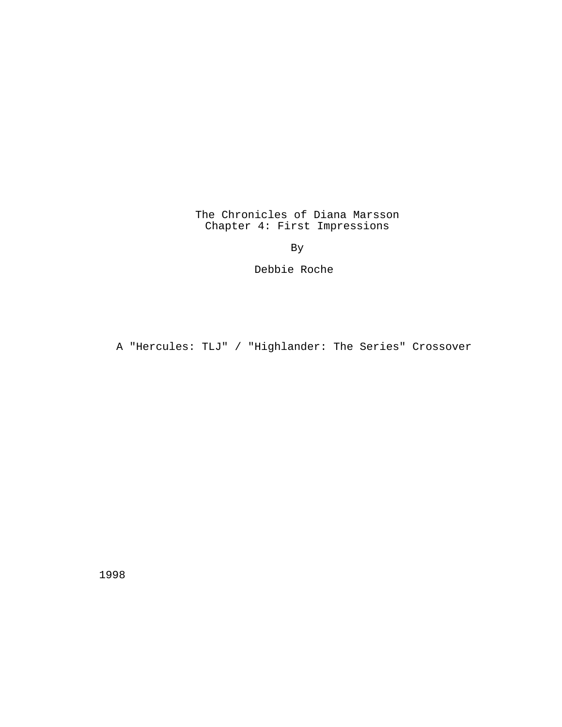The Chronicles of Diana Marsson Chapter 4: First Impressions

By

Debbie Roche

A "Hercules: TLJ" / "Highlander: The Series" Crossover

1998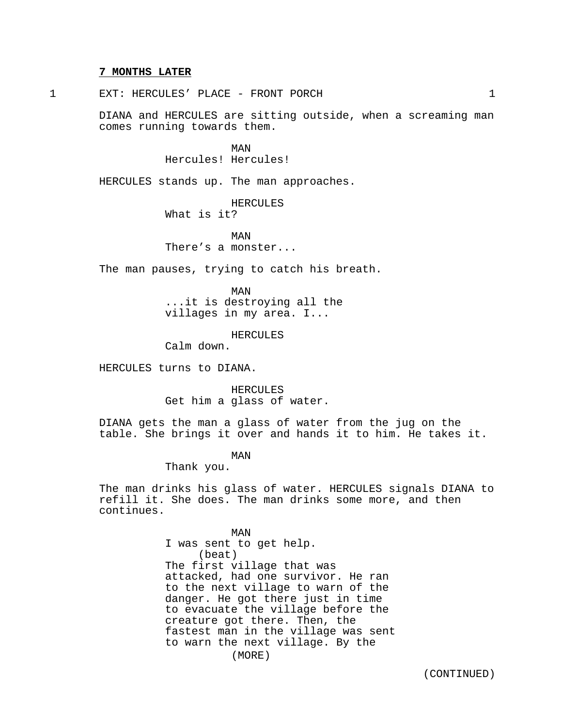### **7 MONTHS LATER**

1 EXT: HERCULES' PLACE - FRONT PORCH 1

DIANA and HERCULES are sitting outside, when a screaming man comes running towards them.

> MAN Hercules! Hercules!

HERCULES stands up. The man approaches.

HERCULES What is it?

MAN There's a monster...

The man pauses, trying to catch his breath.

MAN ...it is destroying all the villages in my area. I...

HERCULES

Calm down.

HERCULES turns to DIANA.

HERCULES Get him a glass of water.

DIANA gets the man a glass of water from the jug on the table. She brings it over and hands it to him. He takes it.

MAN

Thank you.

The man drinks his glass of water. HERCULES signals DIANA to refill it. She does. The man drinks some more, and then continues.

> MAN I was sent to get help. (beat) The first village that was attacked, had one survivor. He ran to the next village to warn of the danger. He got there just in time to evacuate the village before the creature got there. Then, the fastest man in the village was sent to warn the next village. By the (MORE)

> > (CONTINUED)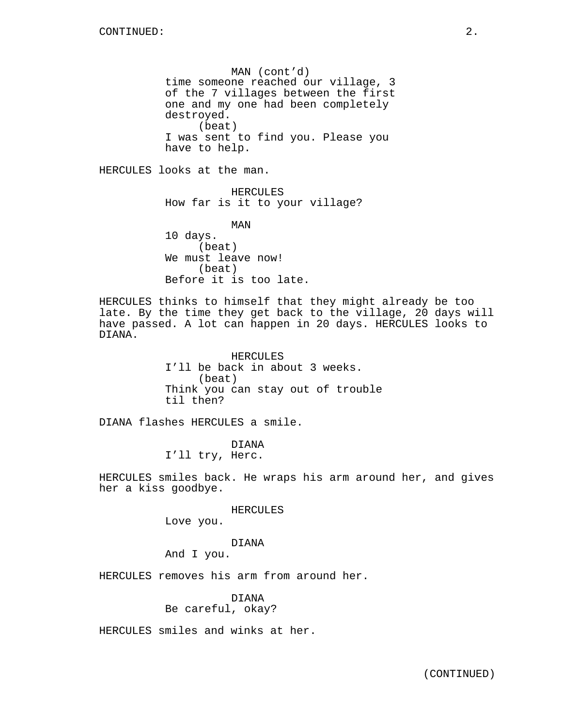MAN (cont'd) time someone reached our village, 3 of the 7 villages between the first one and my one had been completely destroyed. (beat) I was sent to find you. Please you have to help.

HERCULES looks at the man.

HERCULES How far is it to your village?

MAN 10 days. (beat) We must leave now! (beat) Before it is too late.

HERCULES thinks to himself that they might already be too late. By the time they get back to the village, 20 days will have passed. A lot can happen in 20 days. HERCULES looks to DIANA.

> HERCULES I'll be back in about 3 weeks. (beat) Think you can stay out of trouble til then?

DIANA flashes HERCULES a smile.

DIANA I'll try, Herc.

HERCULES smiles back. He wraps his arm around her, and gives her a kiss goodbye.

HERCULES

Love you.

DIANA

And I you.

HERCULES removes his arm from around her.

DIANA Be careful, okay?

HERCULES smiles and winks at her.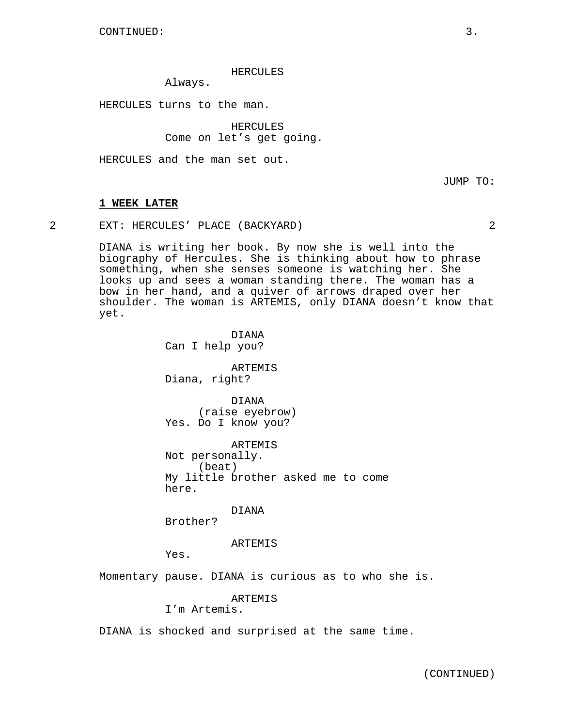### HERCULES

Always.

HERCULES turns to the man.

HERCULES Come on let's get going.

HERCULES and the man set out.

JUMP TO:

#### **1 WEEK LATER**

2 EXT: HERCULES' PLACE (BACKYARD) 2

DIANA is writing her book. By now she is well into the biography of Hercules. She is thinking about how to phrase something, when she senses someone is watching her. She looks up and sees a woman standing there. The woman has a bow in her hand, and a quiver of arrows draped over her shoulder. The woman is ARTEMIS, only DIANA doesn't know that yet.

> DIANA Can I help you?

ARTEMIS Diana, right?

DIANA (raise eyebrow) Yes. Do I know you?

ARTEMIS Not personally. (beat) My little brother asked me to come here.

DIANA

Brother?

ARTEMIS

Yes.

Momentary pause. DIANA is curious as to who she is.

ARTEMIS

I'm Artemis.

DIANA is shocked and surprised at the same time.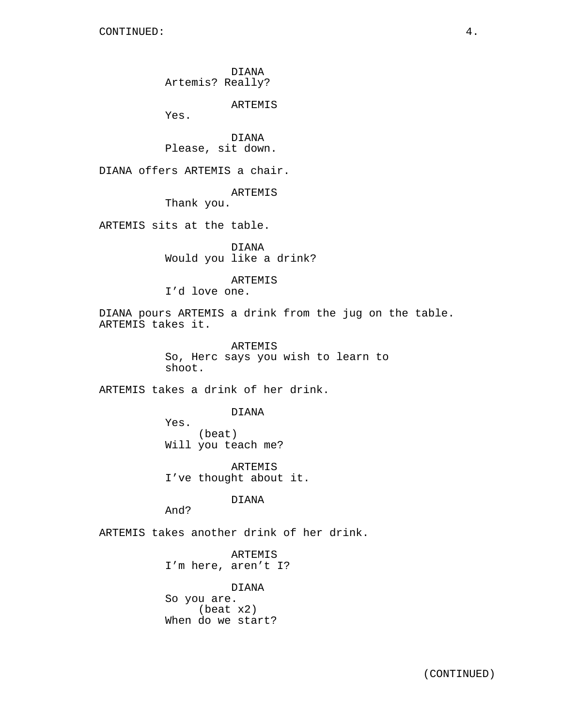DIANA Artemis? Really?

ARTEMIS

Yes.

DIANA Please, sit down.

DIANA offers ARTEMIS a chair.

## ARTEMIS

Thank you.

ARTEMIS sits at the table.

DIANA Would you like a drink?

## ARTEMIS

I'd love one.

DIANA pours ARTEMIS a drink from the jug on the table. ARTEMIS takes it.

> ARTEMIS So, Herc says you wish to learn to shoot.

ARTEMIS takes a drink of her drink.

### DIANA

Yes. (beat) Will you teach me?

ARTEMIS I've thought about it.

DIANA

And?

ARTEMIS takes another drink of her drink.

ARTEMIS I'm here, aren't I?

DIANA

So you are. (beat x2) When do we start?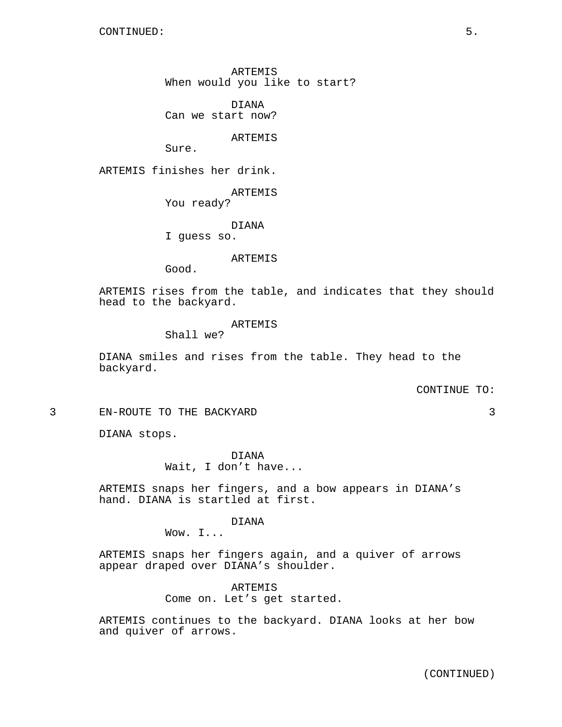ARTEMIS When would you like to start?

DIANA Can we start now?

ARTEMIS

Sure.

ARTEMIS finishes her drink.

ARTEMIS

You ready?

DIANA

I guess so.

ARTEMIS

Good.

ARTEMIS rises from the table, and indicates that they should head to the backyard.

## ARTEMIS

Shall we?

DIANA smiles and rises from the table. They head to the backyard.

#### CONTINUE TO:

3 EN-ROUTE TO THE BACKYARD 3

DIANA stops.

DIANA Wait, I don't have...

ARTEMIS snaps her fingers, and a bow appears in DIANA's hand. DIANA is startled at first.

## DIANA

Wow. I...

ARTEMIS snaps her fingers again, and a quiver of arrows appear draped over DIANA's shoulder.

> ARTEMIS Come on. Let's get started.

ARTEMIS continues to the backyard. DIANA looks at her bow and quiver of arrows.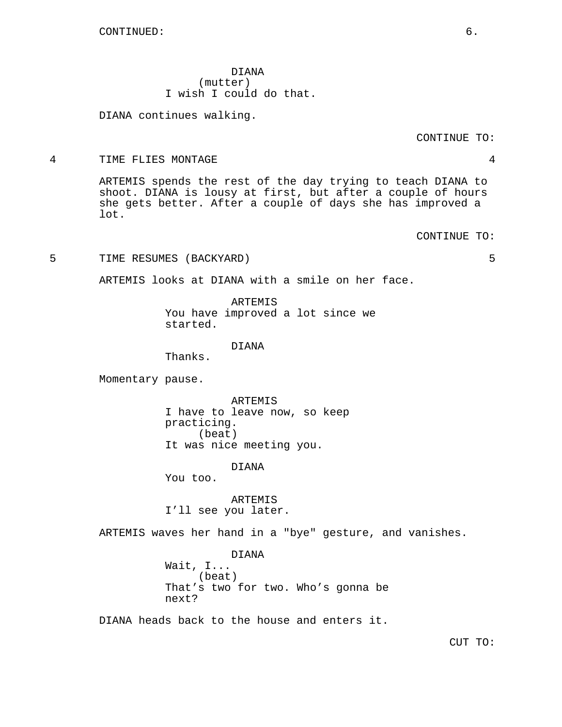DIANA (mutter) I wish I could do that.

DIANA continues walking.

CONTINUE TO:

### 4 TIME FLIES MONTAGE 4

ARTEMIS spends the rest of the day trying to teach DIANA to shoot. DIANA is lousy at first, but after a couple of hours she gets better. After a couple of days she has improved a lot.

CONTINUE TO:

5 TIME RESUMES (BACKYARD) 5

ARTEMIS looks at DIANA with a smile on her face.

ARTEMIS You have improved a lot since we started.

DIANA

Thanks.

Momentary pause.

ARTEMIS I have to leave now, so keep practicing. (beat) It was nice meeting you.

DIANA

You too.

ARTEMIS I'll see you later.

ARTEMIS waves her hand in a "bye" gesture, and vanishes.

DIANA Wait, I... (beat) That's two for two. Who's gonna be next?

DIANA heads back to the house and enters it.

CUT TO: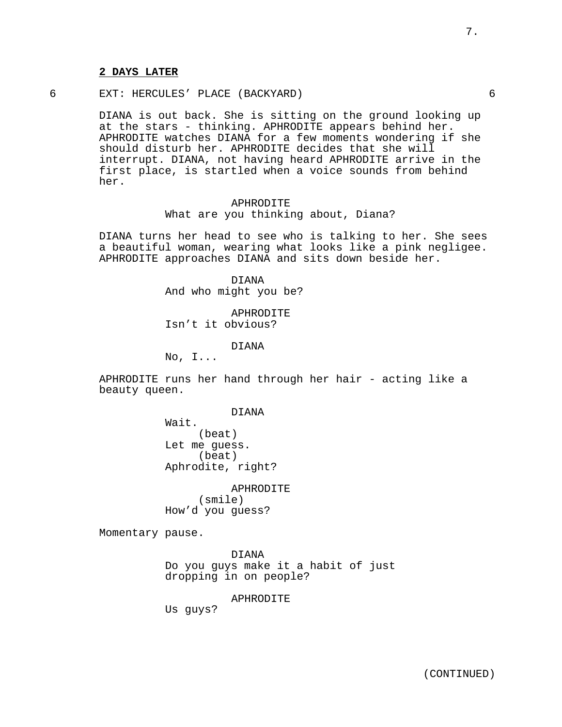6 EXT: HERCULES' PLACE (BACKYARD) 6

DIANA is out back. She is sitting on the ground looking up at the stars - thinking. APHRODITE appears behind her. APHRODITE watches DIANA for a few moments wondering if she should disturb her. APHRODITE decides that she will interrupt. DIANA, not having heard APHRODITE arrive in the first place, is startled when a voice sounds from behind her.

> APHRODITE What are you thinking about, Diana?

DIANA turns her head to see who is talking to her. She sees a beautiful woman, wearing what looks like a pink negligee. APHRODITE approaches DIANA and sits down beside her.

> DIANA And who might you be?

APHRODITE Isn't it obvious?

DIANA

 $No, I...$ 

APHRODITE runs her hand through her hair - acting like a beauty queen.

DIANA

Wait. (beat) Let me guess. (beat) Aphrodite, right?

APHRODITE (smile) How'd you guess?

Momentary pause.

DIANA Do you guys make it a habit of just dropping in on people?

APHRODITE

Us guys?

7.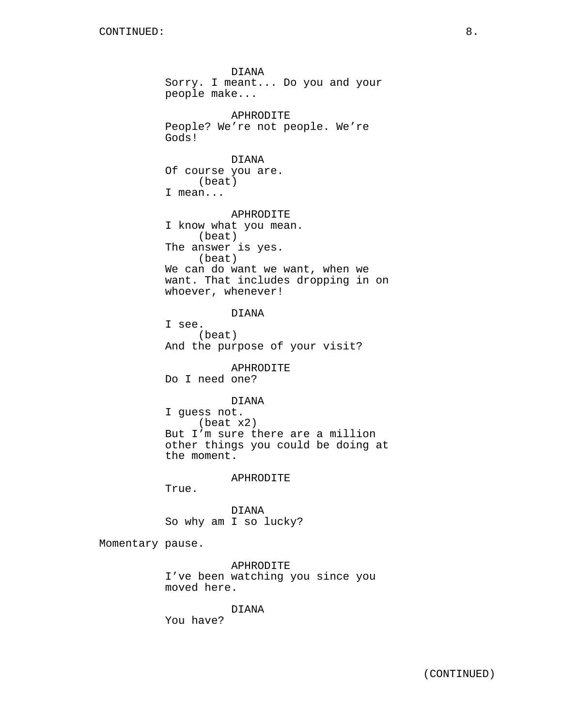DIANA Sorry. I meant... Do you and your people make... APHRODITE People? We're not people. We're Gods! DIANA Of course you are. (beat) I mean... APHRODITE I know what you mean. (beat) The answer is yes. (beat) We can do want we want, when we want. That includes dropping in on whoever, whenever! DIANA I see. (beat) And the purpose of your visit? APHRODITE Do I need one? DIANA I guess not. (beat x2) But I'm sure there are a million other things you could be doing at the moment. APHRODITE True. DIANA So why am I so lucky? Momentary pause.

APHRODITE I've been watching you since you moved here.

DIANA

You have?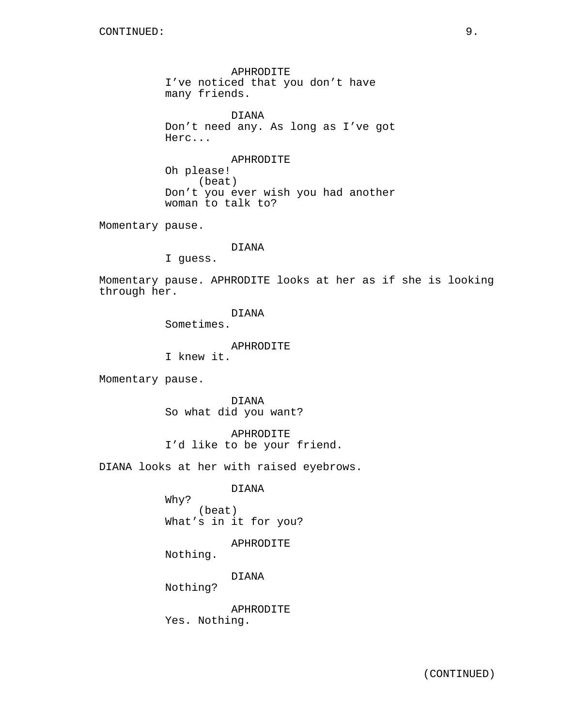APHRODITE I've noticed that you don't have many friends.

DIANA Don't need any. As long as I've got Herc...

APHRODITE Oh please! (beat) Don't you ever wish you had another woman to talk to?

Momentary pause.

DIANA

I guess.

Momentary pause. APHRODITE looks at her as if she is looking through her.

DIANA

Sometimes.

APHRODITE

I knew it.

Momentary pause.

DIANA So what did you want?

APHRODITE I'd like to be your friend.

DIANA looks at her with raised eyebrows.

DIANA

Why? (beat) What's in it for you?

APHRODITE

Nothing.

DIANA

Nothing?

APHRODITE Yes. Nothing.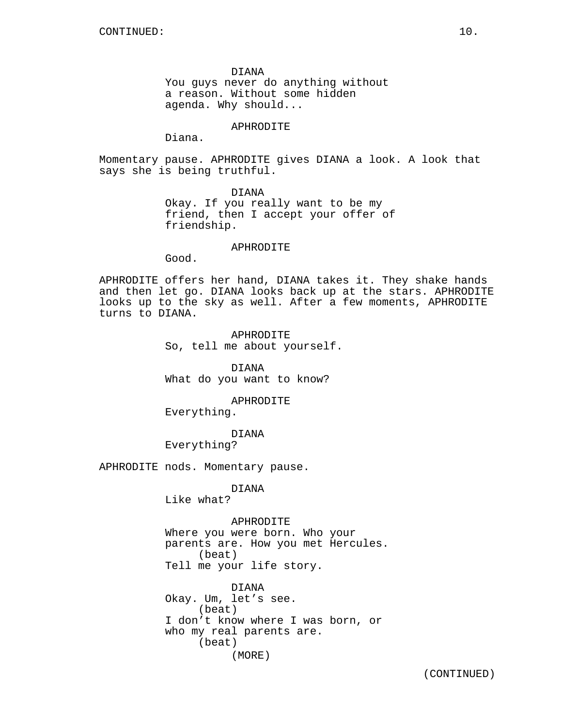DIANA You guys never do anything without a reason. Without some hidden agenda. Why should...

APHRODITE

Diana.

Momentary pause. APHRODITE gives DIANA a look. A look that says she is being truthful.

DIANA

Okay. If you really want to be my friend, then I accept your offer of friendship.

## APHRODITE

Good.

APHRODITE offers her hand, DIANA takes it. They shake hands and then let go. DIANA looks back up at the stars. APHRODITE looks up to the sky as well. After a few moments, APHRODITE turns to DIANA.

> APHRODITE So, tell me about yourself.

DIANA What do you want to know?

APHRODITE

Everything.

DIANA

Everything?

APHRODITE nods. Momentary pause.

DIANA

Like what?

APHRODITE

Where you were born. Who your parents are. How you met Hercules. (beat) Tell me your life story.

DIANA Okay. Um, let's see. (beat) I don't know where I was born, or who my real parents are. (beat) (MORE)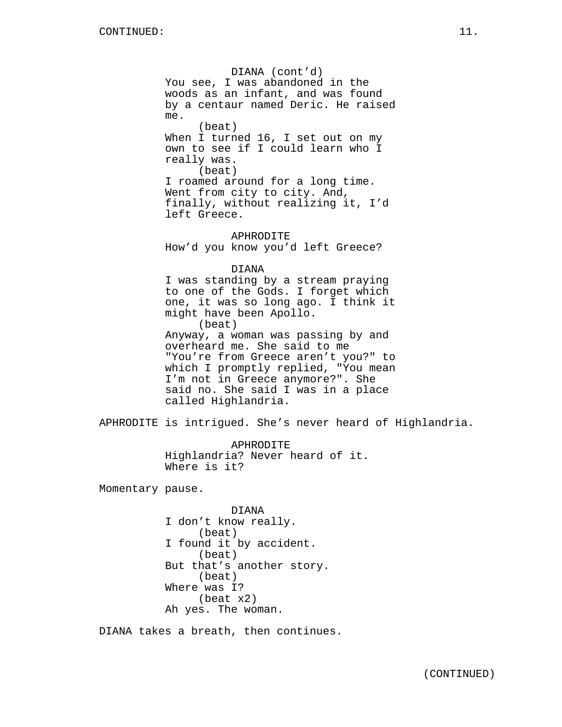DIANA (cont'd) You see, I was abandoned in the woods as an infant, and was found by a centaur named Deric. He raised me. (beat) When I turned 16, I set out on my own to see if I could learn who I really was. (beat) I roamed around for a long time. Went from city to city. And, finally, without realizing it, I'd left Greece. APHRODITE How'd you know you'd left Greece? DIANA I was standing by a stream praying to one of the Gods. I forget which one, it was so long ago. I think it might have been Apollo. (beat) Anyway, a woman was passing by and overheard me. She said to me "You're from Greece aren't you?" to which I promptly replied, "You mean I'm not in Greece anymore?". She said no. She said I was in a place called Highlandria. APHRODITE is intrigued. She's never heard of Highlandria. APHRODITE Highlandria? Never heard of it. Where is it? Momentary pause. DIANA I don't know really. (beat) I found it by accident. (beat) But that's another story. (beat) Where was I? (beat x2)

Ah yes. The woman.

DIANA takes a breath, then continues.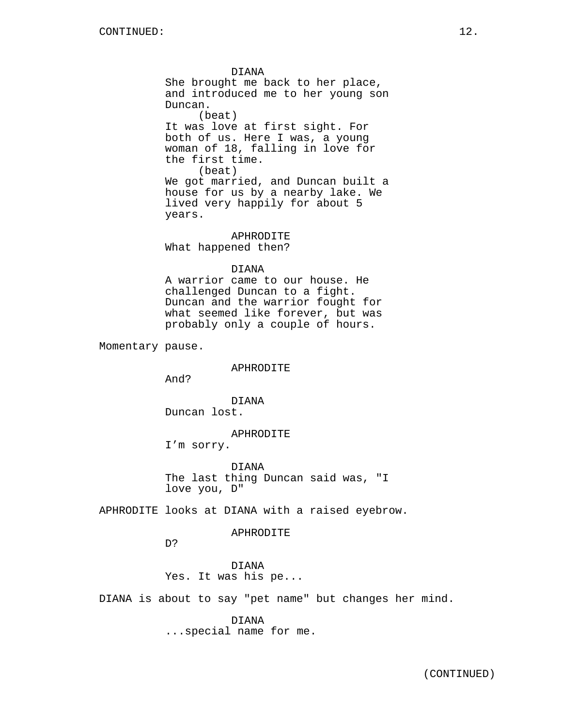DIANA She brought me back to her place, and introduced me to her young son Duncan. (beat) It was love at first sight. For both of us. Here I was, a young woman of 18, falling in love for the first time. (beat) We got married, and Duncan built a house for us by a nearby lake. We lived very happily for about 5 years.

APHRODITE What happened then?

DIANA

A warrior came to our house. He challenged Duncan to a fight. Duncan and the warrior fought for what seemed like forever, but was probably only a couple of hours.

Momentary pause.

APHRODITE

And?

DIANA Duncan lost.

APHRODITE

I'm sorry.

DIANA The last thing Duncan said was, "I love you, D"

APHRODITE looks at DIANA with a raised eyebrow.

## APHRODITE

D?

DIANA Yes. It was his pe...

DIANA is about to say "pet name" but changes her mind.

DIANA ...special name for me.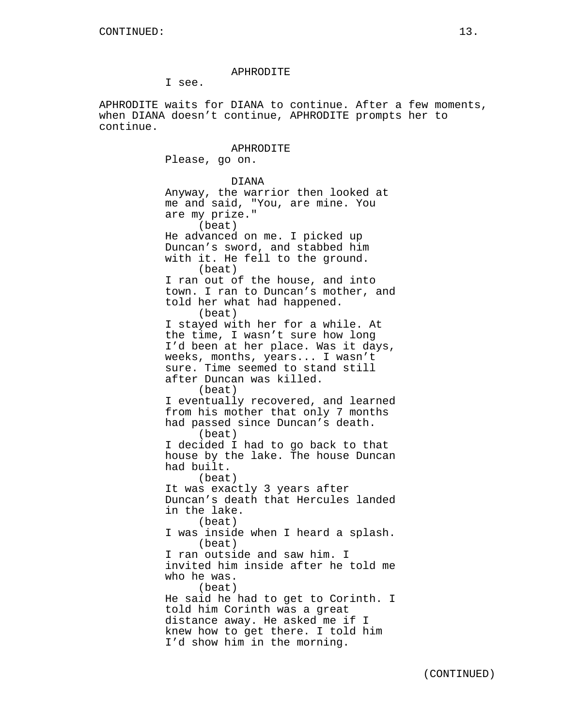### APHRODITE

I see.

APHRODITE waits for DIANA to continue. After a few moments, when DIANA doesn't continue, APHRODITE prompts her to continue.

> APHRODITE Please, go on. DIANA Anyway, the warrior then looked at me and said, "You, are mine. You are my prize." (beat) He advanced on me. I picked up Duncan's sword, and stabbed him with it. He fell to the ground. (beat) I ran out of the house, and into town. I ran to Duncan's mother, and told her what had happened. (beat) I stayed with her for a while. At the time, I wasn't sure how long I'd been at her place. Was it days, weeks, months, years... I wasn't sure. Time seemed to stand still after Duncan was killed. (beat) I eventually recovered, and learned from his mother that only 7 months had passed since Duncan's death. (beat) I decided I had to go back to that house by the lake. The house Duncan had built. (beat) It was exactly 3 years after Duncan's death that Hercules landed in the lake. (beat) I was inside when I heard a splash. (beat) I ran outside and saw him. I invited him inside after he told me who he was. (beat) He said he had to get to Corinth. I told him Corinth was a great distance away. He asked me if I knew how to get there. I told him I'd show him in the morning.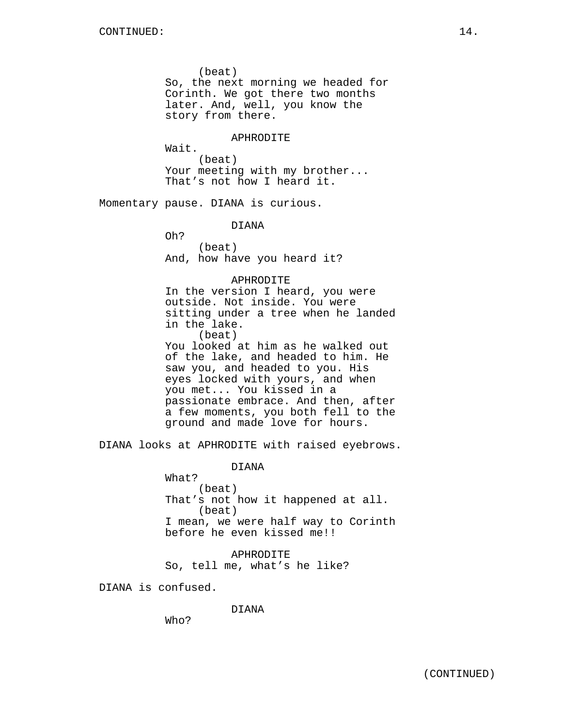(beat) So, the next morning we headed for Corinth. We got there two months later. And, well, you know the story from there. APHRODITE Wait. (beat) Your meeting with my brother... That's not how I heard it. Momentary pause. DIANA is curious. DIANA Oh? (beat) And, how have you heard it? APHRODITE In the version I heard, you were outside. Not inside. You were sitting under a tree when he landed in the lake. (beat) You looked at him as he walked out of the lake, and headed to him. He saw you, and headed to you. His eyes locked with yours, and when you met... You kissed in a passionate embrace. And then, after a few moments, you both fell to the ground and made love for hours.

DIANA looks at APHRODITE with raised eyebrows.

DIANA

What? (beat) That's not how it happened at all. (beat) I mean, we were half way to Corinth before he even kissed me!!

APHRODITE So, tell me, what's he like?

DIANA is confused.

DIANA

Who?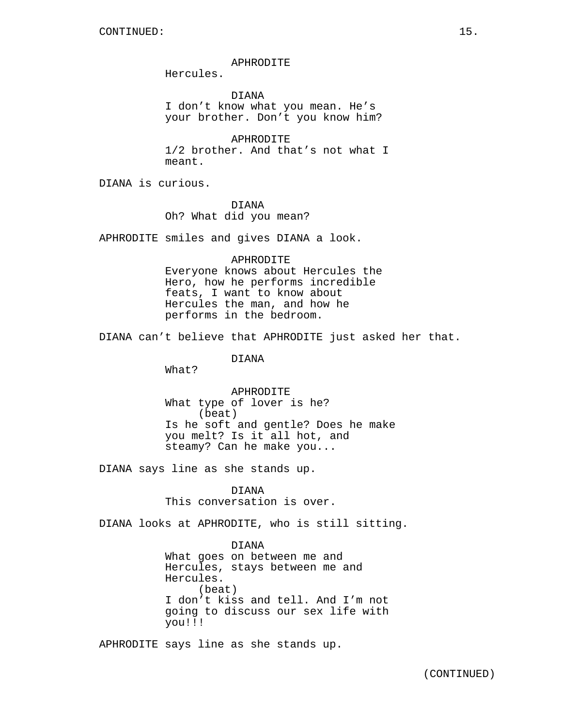### APHRODITE

Hercules.

DIANA I don't know what you mean. He's your brother. Don't you know him?

APHRODITE 1/2 brother. And that's not what I meant.

DIANA is curious.

DIANA Oh? What did you mean?

APHRODITE smiles and gives DIANA a look.

## APHRODITE

Everyone knows about Hercules the Hero, how he performs incredible feats, I want to know about Hercules the man, and how he performs in the bedroom.

DIANA can't believe that APHRODITE just asked her that.

DIANA

What?

APHRODITE What type of lover is he? (beat) Is he soft and gentle? Does he make you melt? Is it all hot, and steamy? Can he make you...

DIANA says line as she stands up.

DIANA This conversation is over.

DIANA looks at APHRODITE, who is still sitting.

DIANA

What goes on between me and Hercules, stays between me and Hercules. (beat) I don't kiss and tell. And I'm not going to discuss our sex life with you!!!

APHRODITE says line as she stands up.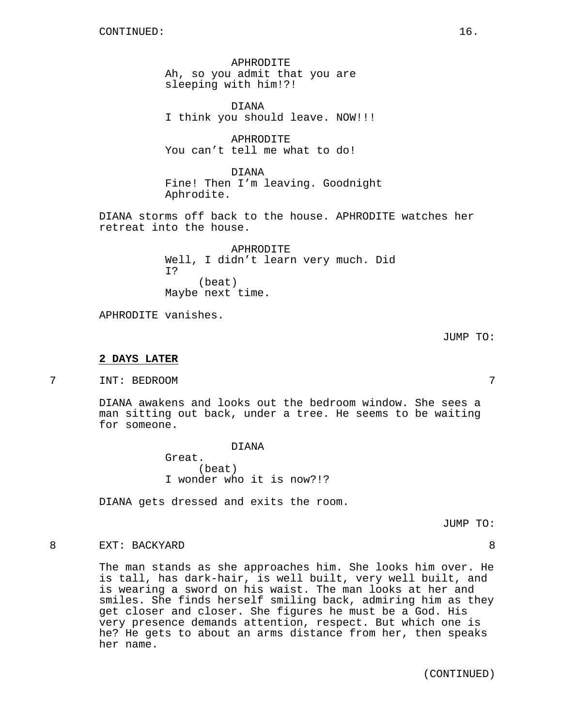APHRODITE Ah, so you admit that you are sleeping with him!?!

DIANA I think you should leave. NOW!!!

APHRODITE You can't tell me what to do!

DIANA Fine! Then I'm leaving. Goodnight Aphrodite.

DIANA storms off back to the house. APHRODITE watches her retreat into the house.

> APHRODITE Well, I didn't learn very much. Did I? (beat) Maybe next time.

APHRODITE vanishes.

JUMP TO:

## **2 DAYS LATER**

7 INT: BEDROOM 7

DIANA awakens and looks out the bedroom window. She sees a man sitting out back, under a tree. He seems to be waiting for someone.

> DIANA Great. (beat) I wonder who it is now?!?

DIANA gets dressed and exits the room.

JUMP TO:

## 8 EXT: BACKYARD 8

The man stands as she approaches him. She looks him over. He is tall, has dark-hair, is well built, very well built, and is wearing a sword on his waist. The man looks at her and smiles. She finds herself smiling back, admiring him as they get closer and closer. She figures he must be a God. His very presence demands attention, respect. But which one is he? He gets to about an arms distance from her, then speaks her name.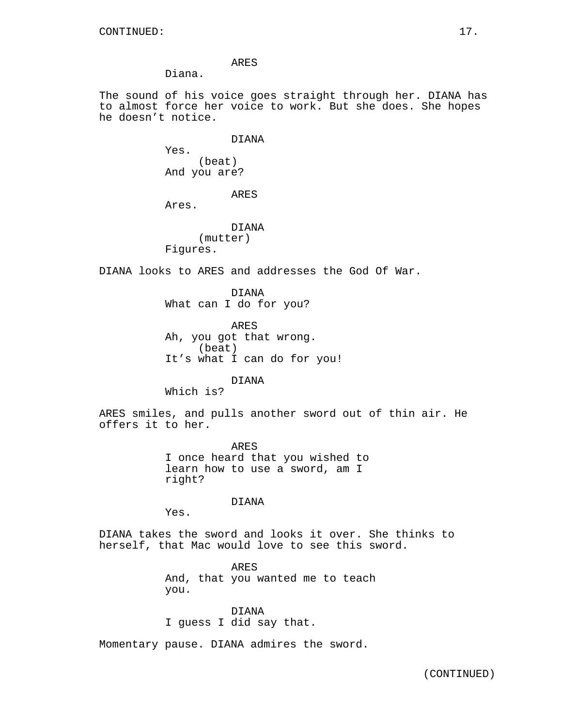Diana.

The sound of his voice goes straight through her. DIANA has to almost force her voice to work. But she does. She hopes he doesn't notice.

DIANA

Yes. (beat) And you are?

ARES

Ares.

DIANA (mutter) Figures.

DIANA looks to ARES and addresses the God Of War.

DIANA What can I do for you?

ARES Ah, you got that wrong. (beat) It's what I can do for you!

DIANA

Which is?

ARES smiles, and pulls another sword out of thin air. He offers it to her.

> ARES I once heard that you wished to learn how to use a sword, am I right?

> > DIANA

Yes.

DIANA takes the sword and looks it over. She thinks to herself, that Mac would love to see this sword.

> ARES And, that you wanted me to teach you.

DIANA I guess I did say that.

Momentary pause. DIANA admires the sword.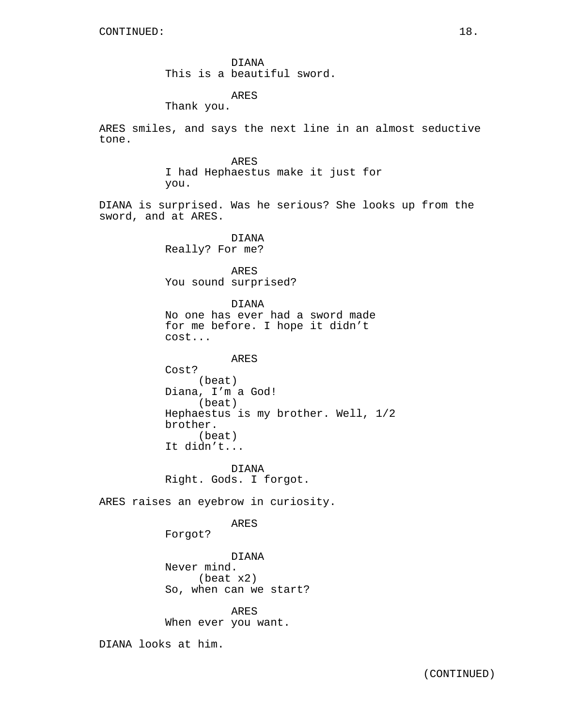DIANA This is a beautiful sword.

ARES

Thank you.

ARES smiles, and says the next line in an almost seductive tone.

> ARES I had Hephaestus make it just for you.

DIANA is surprised. Was he serious? She looks up from the sword, and at ARES.

> DIANA Really? For me?

ARES You sound surprised?

DIANA No one has ever had a sword made for me before. I hope it didn't cost...

ARES Cost? (beat) Diana, I'm a God! (beat) Hephaestus is my brother. Well, 1/2 brother. (beat) It didn't...

DIANA Right. Gods. I forgot.

ARES raises an eyebrow in curiosity.

ARES

Forgot?

DIANA Never mind. (beat x2) So, when can we start?

ARES When ever you want.

DIANA looks at him.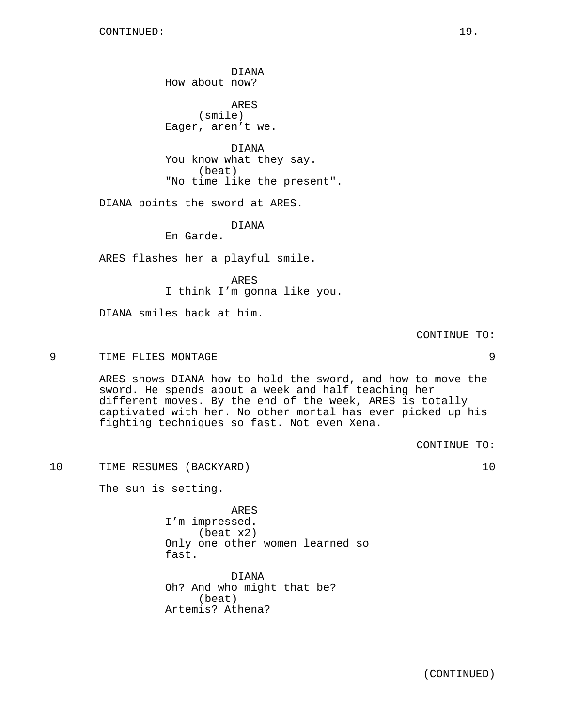DIANA How about now?

ARES (smile) Eager, aren't we.

DIANA You know what they say. (beat) "No time like the present".

DIANA points the sword at ARES.

DIANA

En Garde.

ARES flashes her a playful smile.

ARES I think I'm gonna like you.

DIANA smiles back at him.

CONTINUE TO:

9 TIME FLIES MONTAGE 9

ARES shows DIANA how to hold the sword, and how to move the sword. He spends about a week and half teaching her different moves. By the end of the week, ARES is totally captivated with her. No other mortal has ever picked up his fighting techniques so fast. Not even Xena.

CONTINUE TO:

10 TIME RESUMES (BACKYARD) 10

The sun is setting.

ARES I'm impressed. (beat x2) Only one other women learned so fast.

DIANA Oh? And who might that be? (beat) Artemis? Athena?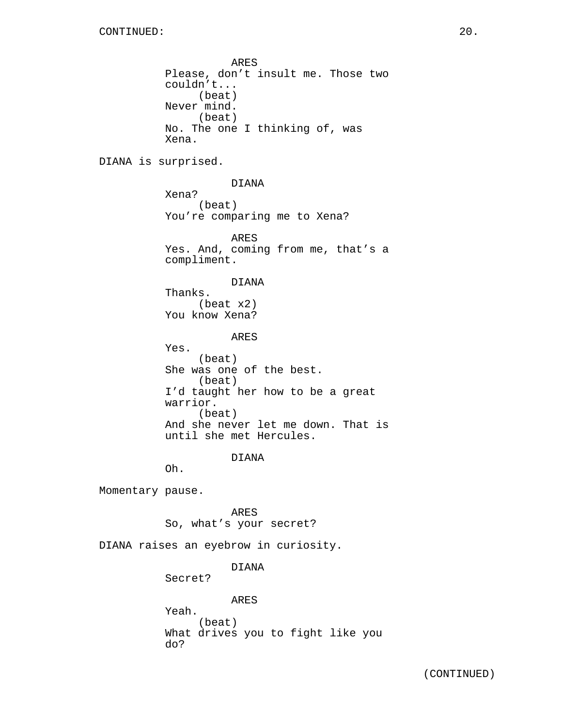ARES Please, don't insult me. Those two couldn't... (beat) Never mind. (beat) No. The one I thinking of, was Xena. DIANA is surprised. DIANA Xena? (beat) You're comparing me to Xena? ARES Yes. And, coming from me, that's a compliment. DIANA Thanks. (beat x2) You know Xena? ARES Yes. (beat) She was one of the best. (beat) I'd taught her how to be a great warrior. (beat) And she never let me down. That is until she met Hercules. DIANA Oh. Momentary pause. ARES So, what's your secret? DIANA raises an eyebrow in curiosity.

# DIANA

Secret?

ARES Yeah. (beat) What drives you to fight like you do?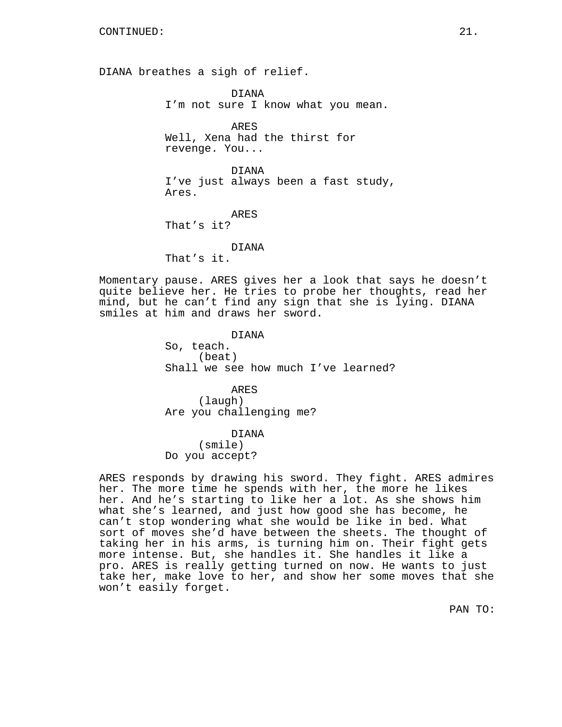DIANA breathes a sigh of relief.

DIANA I'm not sure I know what you mean.

ARES Well, Xena had the thirst for revenge. You...

DIANA I've just always been a fast study, Ares.

ARES That's it?

DIANA

That's it.

Momentary pause. ARES gives her a look that says he doesn't quite believe her. He tries to probe her thoughts, read her mind, but he can't find any sign that she is lying. DIANA smiles at him and draws her sword.

> DIANA So, teach. (beat) Shall we see how much I've learned?

ARES (laugh) Are you challenging me?

DIANA

(smile) Do you accept?

ARES responds by drawing his sword. They fight. ARES admires her. The more time he spends with her, the more he likes her. And he's starting to like her a lot. As she shows him what she's learned, and just how good she has become, he can't stop wondering what she would be like in bed. What sort of moves she'd have between the sheets. The thought of taking her in his arms, is turning him on. Their fight gets more intense. But, she handles it. She handles it like a pro. ARES is really getting turned on now. He wants to just take her, make love to her, and show her some moves that she won't easily forget.

PAN TO: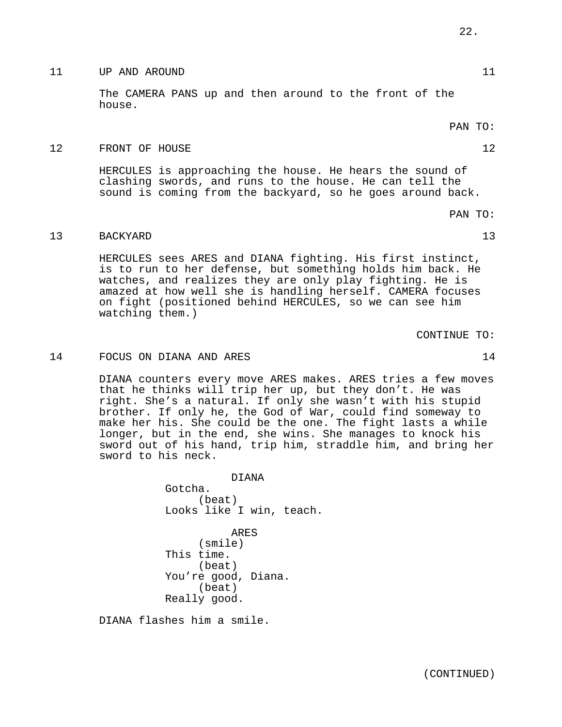### The CAMERA PANS up and then around to the front of the

house.

PAN TO:

## 12 FRONT OF HOUSE 12

HERCULES is approaching the house. He hears the sound of clashing swords, and runs to the house. He can tell the sound is coming from the backyard, so he goes around back.

11 UP AND AROUND 11

PAN TO:

# 13 BACKYARD 13

HERCULES sees ARES and DIANA fighting. His first instinct, is to run to her defense, but something holds him back. He watches, and realizes they are only play fighting. He is amazed at how well she is handling herself. CAMERA focuses on fight (positioned behind HERCULES, so we can see him watching them.)

CONTINUE TO:

# 14 FOCUS ON DIANA AND ARES 14

DIANA counters every move ARES makes. ARES tries a few moves that he thinks will trip her up, but they don't. He was right. She's a natural. If only she wasn't with his stupid brother. If only he, the God of War, could find someway to make her his. She could be the one. The fight lasts a while longer, but in the end, she wins. She manages to knock his sword out of his hand, trip him, straddle him, and bring her sword to his neck.

> DIANA Gotcha. (beat) Looks like I win, teach.

ARES (smile) This time. (beat) You're good, Diana. (beat) Really good.

DIANA flashes him a smile.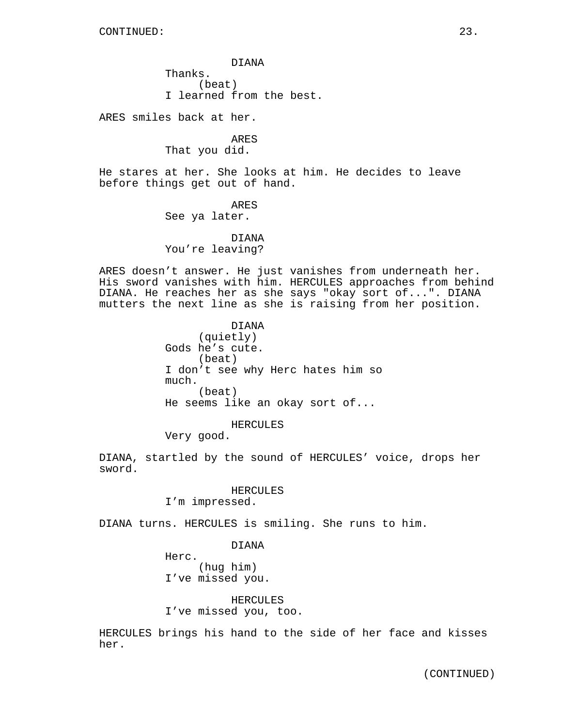DIANA Thanks. (beat) I learned from the best.

ARES smiles back at her.

ARES That you did.

He stares at her. She looks at him. He decides to leave before things get out of hand.

> ARES See ya later.

DIANA You're leaving?

ARES doesn't answer. He just vanishes from underneath her. His sword vanishes with him. HERCULES approaches from behind DIANA. He reaches her as she says "okay sort of...". DIANA mutters the next line as she is raising from her position.

> DIANA (quietly) Gods he's cute. (beat) I don't see why Herc hates him so much. (beat) He seems like an okay sort of...

> > HERCULES

Very good.

DIANA, startled by the sound of HERCULES' voice, drops her sword.

HERCULES

I'm impressed.

DIANA turns. HERCULES is smiling. She runs to him.

DIANA

Herc. (hug him) I've missed you.

HERCULES I've missed you, too.

HERCULES brings his hand to the side of her face and kisses her.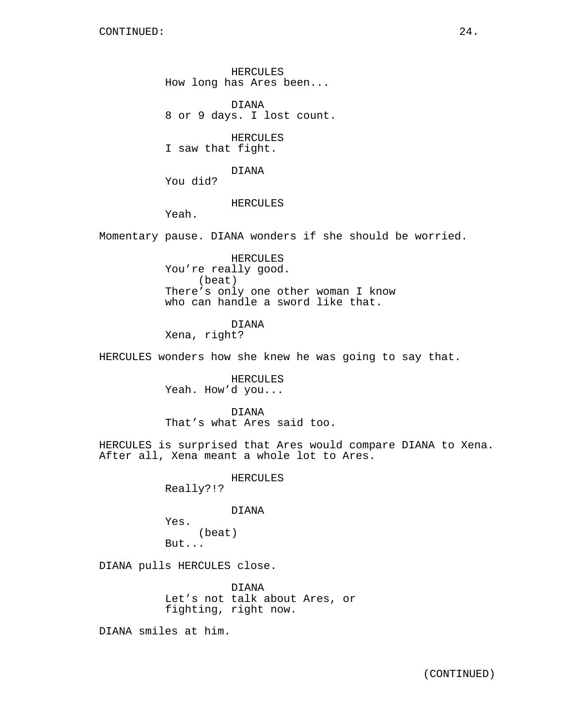HERCULES How long has Ares been...

DIANA 8 or 9 days. I lost count.

HERCULES I saw that fight.

DIANA

You did?

### HERCULES

Yeah.

Momentary pause. DIANA wonders if she should be worried.

HERCULES You're really good. (beat) There's only one other woman I know who can handle a sword like that.

DIANA

Xena, right?

HERCULES wonders how she knew he was going to say that.

HERCULES Yeah. How'd you...

DIANA That's what Ares said too.

HERCULES is surprised that Ares would compare DIANA to Xena. After all, Xena meant a whole lot to Ares.

> HERCULES Really?!?

> > DIANA

Yes. (beat) But...

DIANA pulls HERCULES close.

DIANA Let's not talk about Ares, or fighting, right now.

DIANA smiles at him.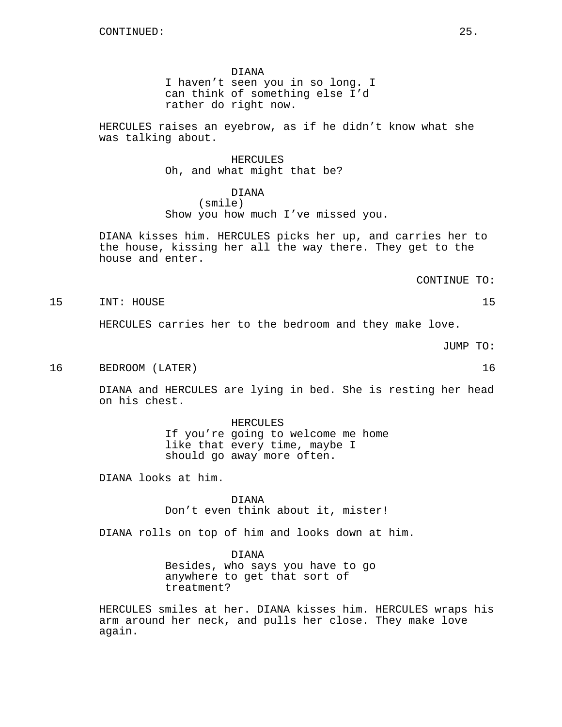DIANA

I haven't seen you in so long. I can think of something else I'd rather do right now.

HERCULES raises an eyebrow, as if he didn't know what she was talking about.

> HERCULES Oh, and what might that be?

DIANA (smile) Show you how much I've missed you.

DIANA kisses him. HERCULES picks her up, and carries her to the house, kissing her all the way there. They get to the house and enter.

CONTINUE TO:

15 INT: HOUSE 15

HERCULES carries her to the bedroom and they make love.

JUMP TO:

16 BEDROOM (LATER) 16

DIANA and HERCULES are lying in bed. She is resting her head on his chest.

> HERCULES If you're going to welcome me home like that every time, maybe I should go away more often.

DIANA looks at him.

DIANA Don't even think about it, mister!

DIANA rolls on top of him and looks down at him.

DIANA Besides, who says you have to go anywhere to get that sort of treatment?

HERCULES smiles at her. DIANA kisses him. HERCULES wraps his arm around her neck, and pulls her close. They make love again.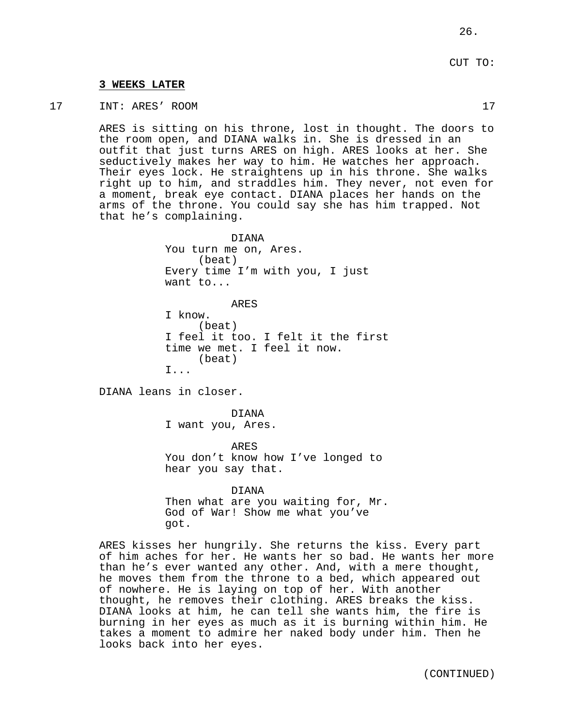## **3 WEEKS LATER**

17 INT: ARES' ROOM 17

ARES is sitting on his throne, lost in thought. The doors to the room open, and DIANA walks in. She is dressed in an outfit that just turns ARES on high. ARES looks at her. She seductively makes her way to him. He watches her approach. Their eyes lock. He straightens up in his throne. She walks right up to him, and straddles him. They never, not even for a moment, break eye contact. DIANA places her hands on the arms of the throne. You could say she has him trapped. Not that he's complaining.

> DIANA You turn me on, Ares. (beat) Every time I'm with you, I just want to...

> > ARES

I know. (beat) I feel it too. I felt it the first time we met. I feel it now. (beat) I...

DIANA leans in closer.

DIANA I want you, Ares.

ARES You don't know how I've longed to hear you say that.

DIANA Then what are you waiting for, Mr. God of War! Show me what you've got.

ARES kisses her hungrily. She returns the kiss. Every part of him aches for her. He wants her so bad. He wants her more than he's ever wanted any other. And, with a mere thought, he moves them from the throne to a bed, which appeared out of nowhere. He is laying on top of her. With another thought, he removes their clothing. ARES breaks the kiss. DIANA looks at him, he can tell she wants him, the fire is burning in her eyes as much as it is burning within him. He takes a moment to admire her naked body under him. Then he looks back into her eyes.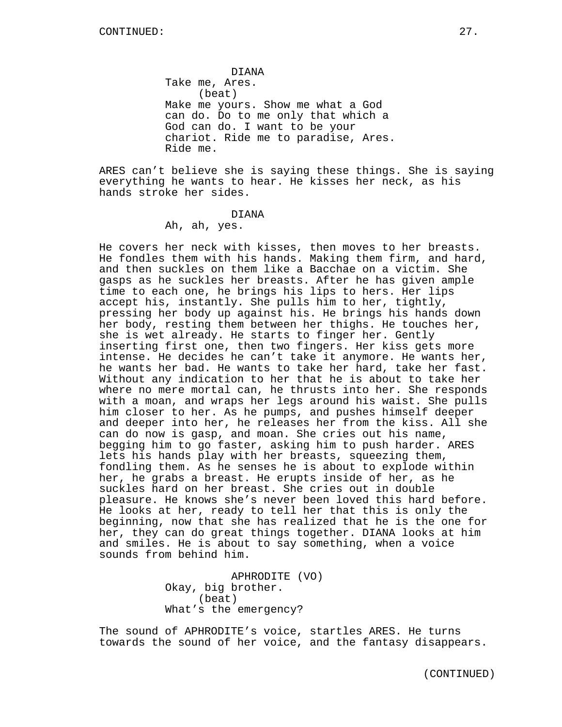DIANA Take me, Ares. (beat) Make me yours. Show me what a God can do. Do to me only that which a God can do. I want to be your chariot. Ride me to paradise, Ares. Ride me.

ARES can't believe she is saying these things. She is saying everything he wants to hear. He kisses her neck, as his hands stroke her sides.

## DIANA

Ah, ah, yes.

He covers her neck with kisses, then moves to her breasts. He fondles them with his hands. Making them firm, and hard, and then suckles on them like a Bacchae on a victim. She gasps as he suckles her breasts. After he has given ample time to each one, he brings his lips to hers. Her lips accept his, instantly. She pulls him to her, tightly, pressing her body up against his. He brings his hands down her body, resting them between her thighs. He touches her, she is wet already. He starts to finger her. Gently inserting first one, then two fingers. Her kiss gets more intense. He decides he can't take it anymore. He wants her, he wants her bad. He wants to take her hard, take her fast. Without any indication to her that he is about to take her where no mere mortal can, he thrusts into her. She responds with a moan, and wraps her legs around his waist. She pulls him closer to her. As he pumps, and pushes himself deeper and deeper into her, he releases her from the kiss. All she can do now is gasp, and moan. She cries out his name, begging him to go faster, asking him to push harder. ARES lets his hands play with her breasts, squeezing them, fondling them. As he senses he is about to explode within her, he grabs a breast. He erupts inside of her, as he suckles hard on her breast. She cries out in double pleasure. He knows she's never been loved this hard before. He looks at her, ready to tell her that this is only the beginning, now that she has realized that he is the one for her, they can do great things together. DIANA looks at him and smiles. He is about to say something, when a voice sounds from behind him.

> APHRODITE (VO) Okay, big brother. (beat) What's the emergency?

The sound of APHRODITE's voice, startles ARES. He turns towards the sound of her voice, and the fantasy disappears.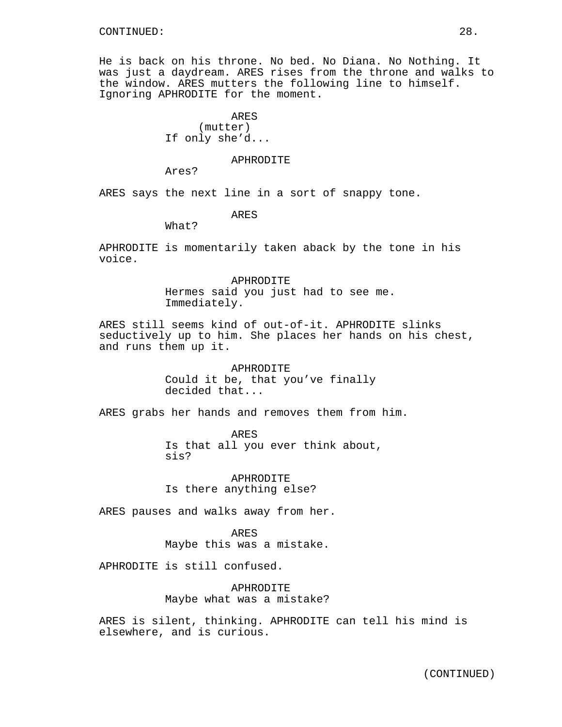He is back on his throne. No bed. No Diana. No Nothing. It was just a daydream. ARES rises from the throne and walks to the window. ARES mutters the following line to himself. Ignoring APHRODITE for the moment.

> ARES (mutter) If only she'd...

### APHRODITE

Ares?

ARES says the next line in a sort of snappy tone.

ARES

What?

APHRODITE is momentarily taken aback by the tone in his voice.

> APHRODITE Hermes said you just had to see me. Immediately.

ARES still seems kind of out-of-it. APHRODITE slinks seductively up to him. She places her hands on his chest, and runs them up it.

> APHRODITE Could it be, that you've finally decided that...

ARES grabs her hands and removes them from him.

ARES Is that all you ever think about, sis?

APHRODITE Is there anything else?

ARES pauses and walks away from her.

ARES Maybe this was a mistake.

APHRODITE is still confused.

APHRODITE Maybe what was a mistake?

ARES is silent, thinking. APHRODITE can tell his mind is elsewhere, and is curious.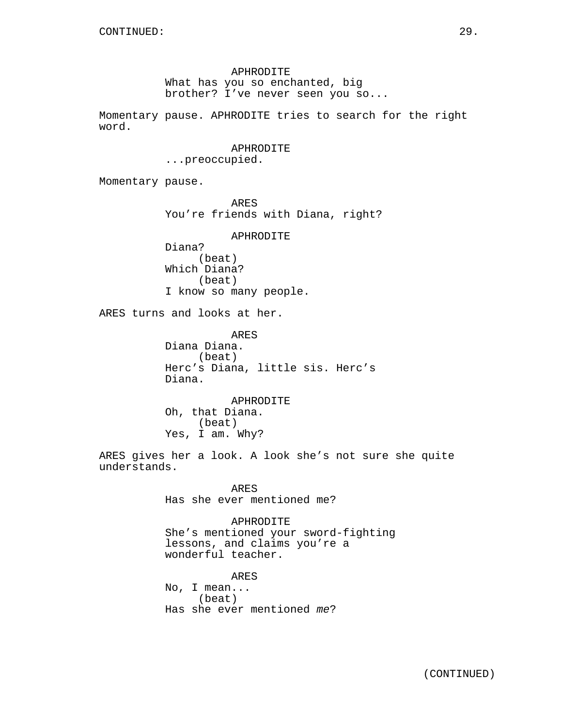APHRODITE What has you so enchanted, big brother? I've never seen you so...

Momentary pause. APHRODITE tries to search for the right word.

## APHRODITE

...preoccupied.

Momentary pause.

ARES You're friends with Diana, right?

APHRODITE

Diana? (beat) Which Diana? (beat) I know so many people.

ARES turns and looks at her.

ARES Diana Diana. (beat) Herc's Diana, little sis. Herc's Diana.

APHRODITE Oh, that Diana. (beat) Yes, I am. Why?

ARES gives her a look. A look she's not sure she quite understands.

> ARES Has she ever mentioned me?

APHRODITE She's mentioned your sword-fighting lessons, and claims you're a wonderful teacher.

ARES No, I mean... (beat) Has she ever mentioned me?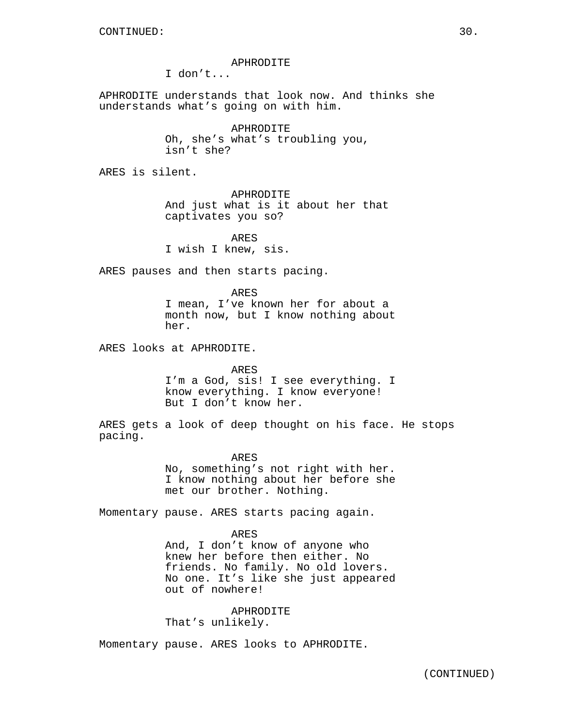### APHRODITE

I don't...

APHRODITE understands that look now. And thinks she understands what's going on with him.

> APHRODITE Oh, she's what's troubling you, isn't she?

ARES is silent.

APHRODITE And just what is it about her that captivates you so?

ARES I wish I knew, sis.

ARES pauses and then starts pacing.

ARES I mean, I've known her for about a month now, but I know nothing about her.

ARES looks at APHRODITE.

#### ARES

I'm a God, sis! I see everything. I know everything. I know everyone! But I don't know her.

ARES gets a look of deep thought on his face. He stops pacing.

> ARES No, something's not right with her. I know nothing about her before she met our brother. Nothing.

Momentary pause. ARES starts pacing again.

ARES And, I don't know of anyone who knew her before then either. No friends. No family. No old lovers. No one. It's like she just appeared out of nowhere!

APHRODITE That's unlikely.

Momentary pause. ARES looks to APHRODITE.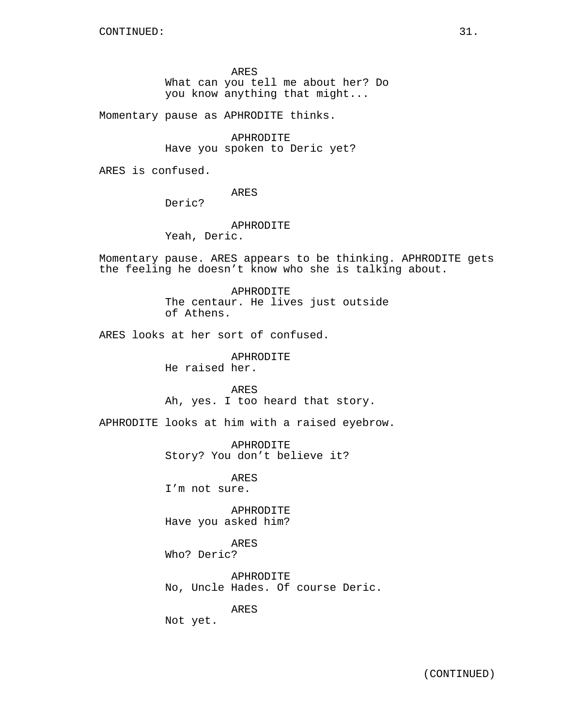ARES

What can you tell me about her? Do you know anything that might...

Momentary pause as APHRODITE thinks.

APHRODITE Have you spoken to Deric yet?

ARES is confused.

ARES

Deric?

APHRODITE

Yeah, Deric.

Momentary pause. ARES appears to be thinking. APHRODITE gets the feeling he doesn't know who she is talking about.

> APHRODITE The centaur. He lives just outside of Athens.

ARES looks at her sort of confused.

APHRODITE He raised her.

ARES Ah, yes. I too heard that story.

APHRODITE looks at him with a raised eyebrow.

APHRODITE Story? You don't believe it?

ARES I'm not sure.

APHRODITE Have you asked him?

ARES

Who? Deric?

APHRODITE No, Uncle Hades. Of course Deric.

ARES

Not yet.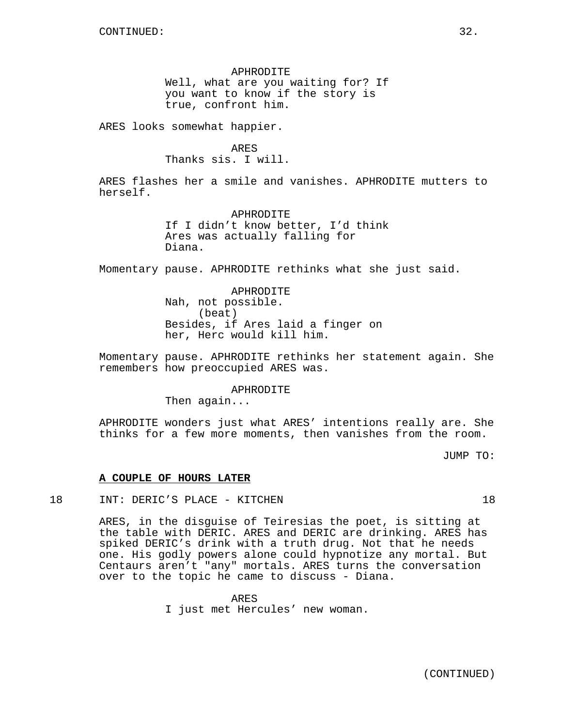APHRODITE Well, what are you waiting for? If you want to know if the story is true, confront him.

ARES looks somewhat happier.

ARES Thanks sis. I will.

ARES flashes her a smile and vanishes. APHRODITE mutters to herself.

> APHRODITE If I didn't know better, I'd think Ares was actually falling for Diana.

Momentary pause. APHRODITE rethinks what she just said.

APHRODITE Nah, not possible. (beat) Besides, if Ares laid a finger on her, Herc would kill him.

Momentary pause. APHRODITE rethinks her statement again. She remembers how preoccupied ARES was.

APHRODITE

Then again...

APHRODITE wonders just what ARES' intentions really are. She thinks for a few more moments, then vanishes from the room.

JUMP TO:

## **A COUPLE OF HOURS LATER**

18 INT: DERIC'S PLACE - KITCHEN 18

ARES, in the disguise of Teiresias the poet, is sitting at the table with DERIC. ARES and DERIC are drinking. ARES has spiked DERIC's drink with a truth drug. Not that he needs one. His godly powers alone could hypnotize any mortal. But Centaurs aren't "any" mortals. ARES turns the conversation over to the topic he came to discuss - Diana.

ARES

(CONTINUED)

I just met Hercules' new woman.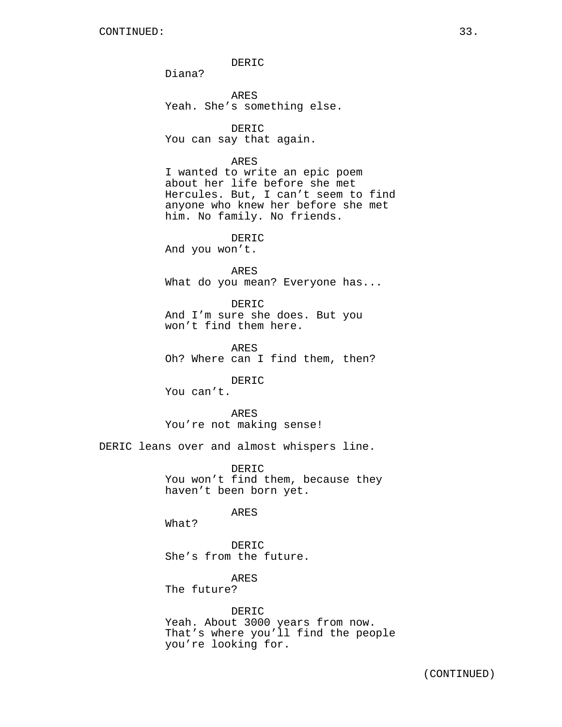DERIC

Diana?

ARES Yeah. She's something else.

DERIC You can say that again.

## ARES

I wanted to write an epic poem about her life before she met Hercules. But, I can't seem to find anyone who knew her before she met him. No family. No friends.

DERIC

And you won't.

ARES What do you mean? Everyone has...

DERIC And I'm sure she does. But you won't find them here.

ARES Oh? Where can I find them, then?

### DERIC

You can't.

ARES You're not making sense!

DERIC leans over and almost whispers line.

DERIC You won't find them, because they haven't been born yet.

#### ARES

What?

DERIC She's from the future.

ARES The future?

## DERIC

Yeah. About 3000 years from now. That's where you'll find the people you're looking for.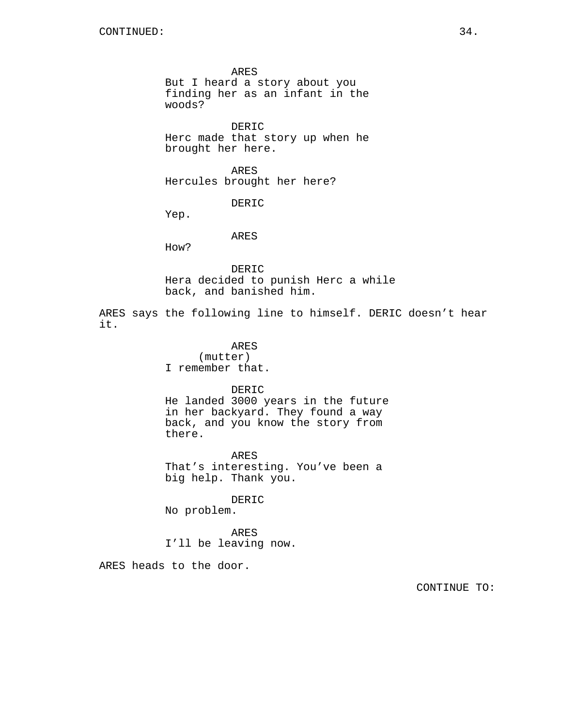ARES But I heard a story about you finding her as an infant in the woods?

DERIC Herc made that story up when he brought her here.

ARES Hercules brought her here?

DERIC

Yep.

ARES

How?

DERIC Hera decided to punish Herc a while back, and banished him.

ARES says the following line to himself. DERIC doesn't hear it.

> ARES (mutter) I remember that.

> > DERIC

He landed 3000 years in the future in her backyard. They found a way back, and you know the story from there.

ARES That's interesting. You've been a big help. Thank you.

DERIC No problem.

ARES I'll be leaving now.

ARES heads to the door.

CONTINUE TO: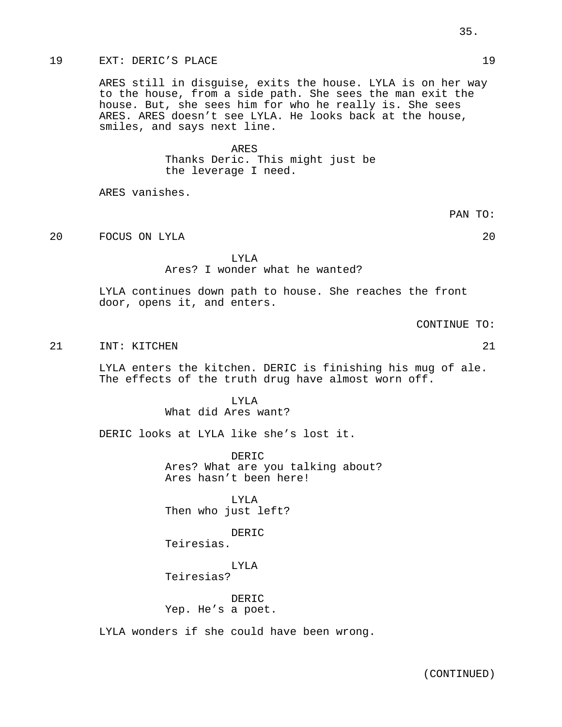# 19 EXT: DERIC'S PLACE 19

ARES still in disguise, exits the house. LYLA is on her way to the house, from a side path. She sees the man exit the house. But, she sees him for who he really is. She sees ARES. ARES doesn't see LYLA. He looks back at the house, smiles, and says next line.

#### ARES

Thanks Deric. This might just be the leverage I need.

ARES vanishes.

20 FOCUS ON LYLA 20

# LYLA Ares? I wonder what he wanted?

LYLA continues down path to house. She reaches the front door, opens it, and enters.

CONTINUE TO:

21 INT: KITCHEN 21

LYLA enters the kitchen. DERIC is finishing his mug of ale. The effects of the truth drug have almost worn off.

> LYLA What did Ares want?

DERIC looks at LYLA like she's lost it.

DERIC Ares? What are you talking about? Ares hasn't been here!

LYLA Then who just left?

DERIC

Teiresias.

LYLA Teiresias?

DERIC Yep. He's a poet.

LYLA wonders if she could have been wrong.

PAN TO: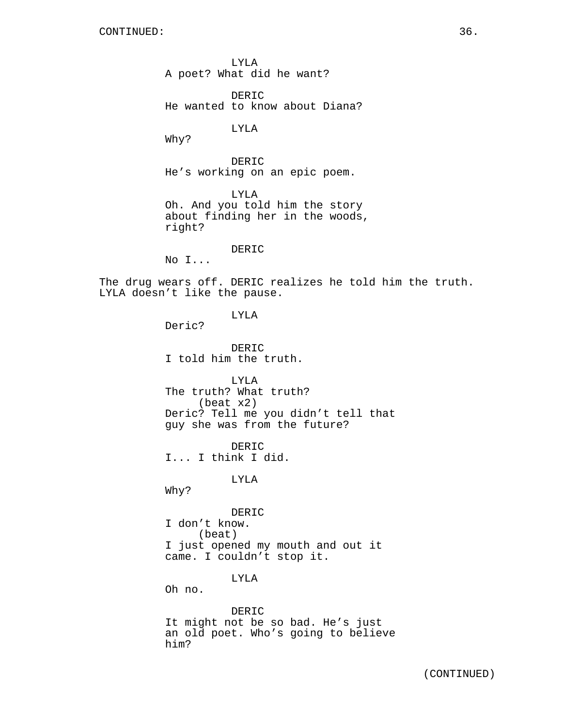LYLA A poet? What did he want?

DERIC He wanted to know about Diana?

LYLA

Why?

DERIC He's working on an epic poem.

LYLA Oh. And you told him the story about finding her in the woods, right?

## DERIC

No I...

The drug wears off. DERIC realizes he told him the truth. LYLA doesn't like the pause.

LYLA

Deric?

DERIC I told him the truth.

LYLA The truth? What truth? (beat x2) Deric? Tell me you didn't tell that guy she was from the future?

DERIC I... I think I did.

LYLA

Why?

DERIC I don't know. (beat) I just opened my mouth and out it came. I couldn't stop it.

LYLA

Oh no.

DERIC It might not be so bad. He's just an old poet. Who's going to believe him?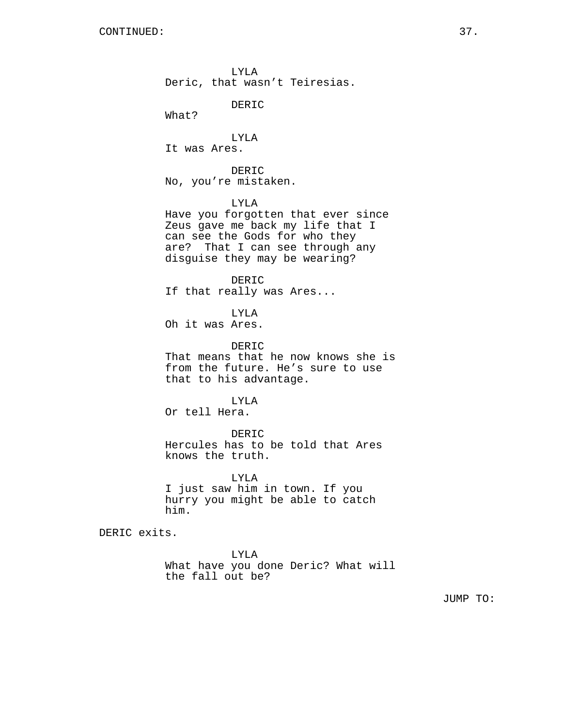LYLA Deric, that wasn't Teiresias.

DERIC

What?

LYLA It was Ares.

DERIC No, you're mistaken.

LYLA

Have you forgotten that ever since Zeus gave me back my life that I can see the Gods for who they are? That I can see through any disguise they may be wearing?

DERIC If that really was Ares...

LYLA Oh it was Ares.

DERIC That means that he now knows she is

from the future. He's sure to use that to his advantage.

LYLA

Or tell Hera.

DERIC

Hercules has to be told that Ares knows the truth.

LYLA I just saw him in town. If you hurry you might be able to catch him.

DERIC exits.

LYLA What have you done Deric? What will the fall out be?

JUMP TO: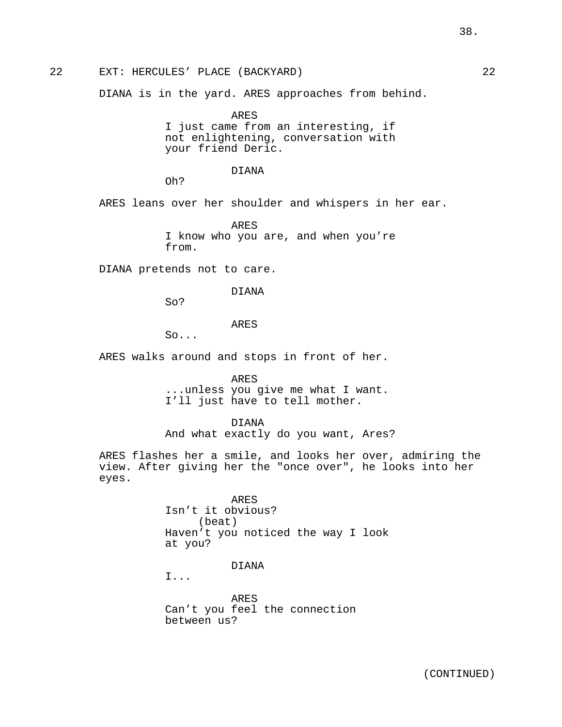38.

# 22 EXT: HERCULES' PLACE (BACKYARD) 22

DIANA is in the yard. ARES approaches from behind.

ARES I just came from an interesting, if not enlightening, conversation with your friend Deric.

# DIANA

Oh?

ARES leans over her shoulder and whispers in her ear.

ARES I know who you are, and when you're from.

DIANA pretends not to care.

## DIANA

So?

# ARES

So...

ARES walks around and stops in front of her.

ARES

...unless you give me what I want. I'll just have to tell mother.

# DIANA

And what exactly do you want, Ares?

ARES flashes her a smile, and looks her over, admiring the view. After giving her the "once over", he looks into her eyes.

> ARES Isn't it obvious? (beat) Haven't you noticed the way I look at you?

# DIANA

I...

ARES Can't you feel the connection between us?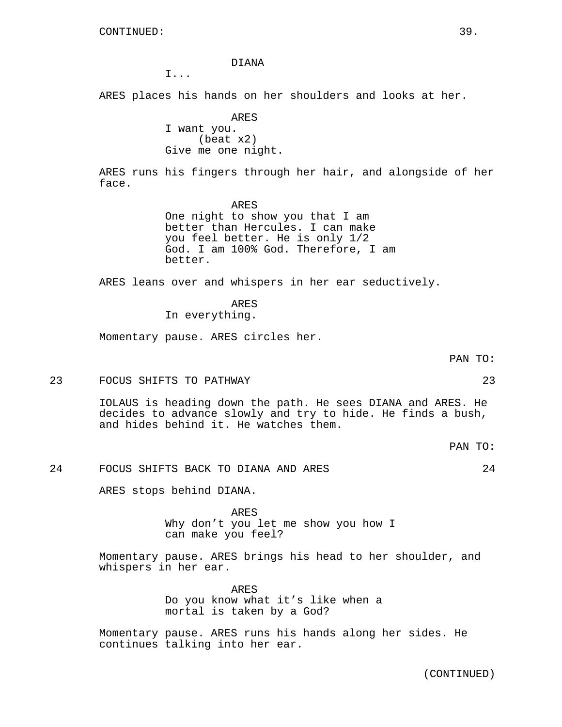DIANA

I...

ARES places his hands on her shoulders and looks at her.

ARES I want you. (beat x2) Give me one night.

ARES runs his fingers through her hair, and alongside of her face.

> ARES One night to show you that I am better than Hercules. I can make you feel better. He is only 1/2 God. I am 100% God. Therefore, I am better.

ARES leans over and whispers in her ear seductively.

ARES In everything.

Momentary pause. ARES circles her.

# PAN TO:

#### 23 FOCUS SHIFTS TO PATHWAY 23

IOLAUS is heading down the path. He sees DIANA and ARES. He decides to advance slowly and try to hide. He finds a bush, and hides behind it. He watches them.

PAN TO:

24 FOCUS SHIFTS BACK TO DIANA AND ARES 24

ARES stops behind DIANA.

ARES Why don't you let me show you how I can make you feel?

Momentary pause. ARES brings his head to her shoulder, and whispers in her ear.

> ARES Do you know what it's like when a mortal is taken by a God?

Momentary pause. ARES runs his hands along her sides. He continues talking into her ear.

(CONTINUED)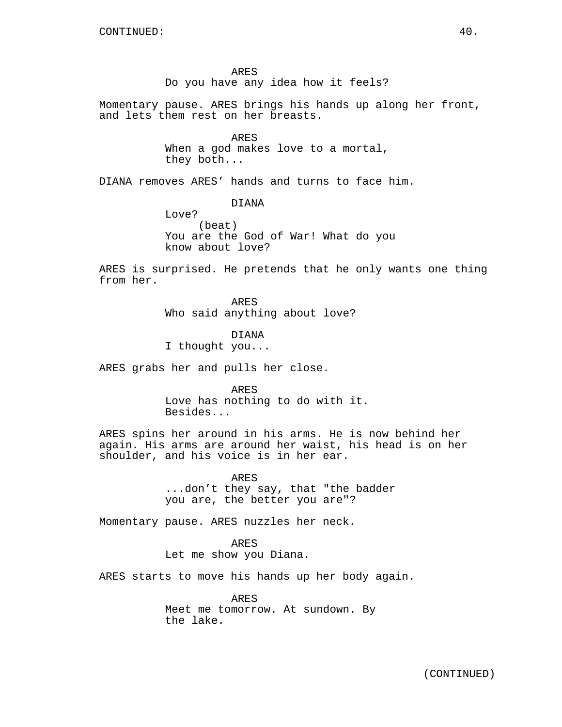ARES Do you have any idea how it feels?

Momentary pause. ARES brings his hands up along her front, and lets them rest on her breasts.

> ARES When a god makes love to a mortal, they both...

DIANA removes ARES' hands and turns to face him.

DIANA

Love? (beat) You are the God of War! What do you know about love?

ARES is surprised. He pretends that he only wants one thing from her.

> ARES Who said anything about love?

DIANA I thought you...

ARES grabs her and pulls her close.

ARES Love has nothing to do with it. Besides...

ARES spins her around in his arms. He is now behind her again. His arms are around her waist, his head is on her shoulder, and his voice is in her ear.

> ARES ...don't they say, that "the badder you are, the better you are"?

Momentary pause. ARES nuzzles her neck.

ARES Let me show you Diana.

ARES starts to move his hands up her body again.

ARES Meet me tomorrow. At sundown. By the lake.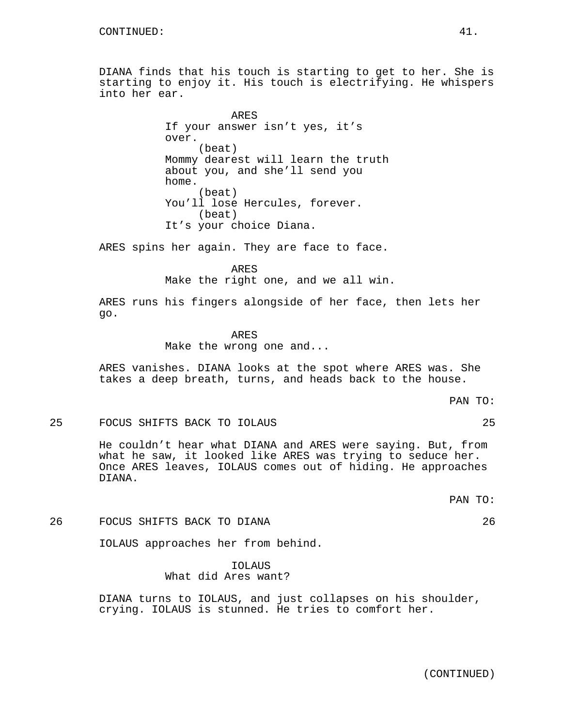DIANA finds that his touch is starting to get to her. She is starting to enjoy it. His touch is electrifying. He whispers into her ear.

> ARES If your answer isn't yes, it's over. (beat) Mommy dearest will learn the truth about you, and she'll send you home. (beat) You'll lose Hercules, forever. (beat) It's your choice Diana.

ARES spins her again. They are face to face.

ARES Make the right one, and we all win.

ARES runs his fingers alongside of her face, then lets her go.

> ARES Make the wrong one and...

ARES vanishes. DIANA looks at the spot where ARES was. She takes a deep breath, turns, and heads back to the house.

PAN TO:

#### 25 FOCUS SHIFTS BACK TO IOLAUS 25

He couldn't hear what DIANA and ARES were saying. But, from what he saw, it looked like ARES was trying to seduce her. Once ARES leaves, IOLAUS comes out of hiding. He approaches DIANA.

PAN TO:

# 26 FOCUS SHIFTS BACK TO DIANA 26

IOLAUS approaches her from behind.

# IOLAUS What did Ares want?

DIANA turns to IOLAUS, and just collapses on his shoulder, crying. IOLAUS is stunned. He tries to comfort her.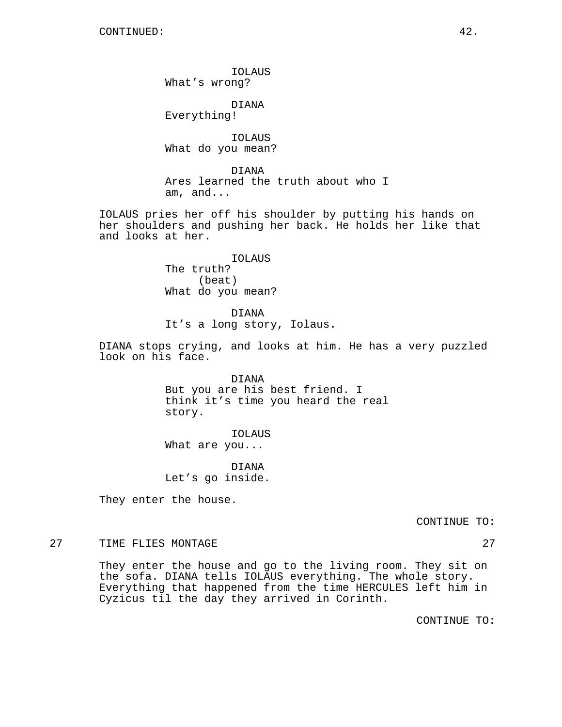IOLAUS What's wrong?

DIANA Everything!

IOLAUS What do you mean?

DIANA Ares learned the truth about who I am, and...

IOLAUS pries her off his shoulder by putting his hands on her shoulders and pushing her back. He holds her like that and looks at her.

> IOLAUS The truth? (beat) What do you mean?

DIANA It's a long story, Iolaus.

DIANA stops crying, and looks at him. He has a very puzzled look on his face.

> DIANA But you are his best friend. I think it's time you heard the real story.

IOLAUS What are you...

DIANA Let's go inside.

They enter the house.

CONTINUE TO:

27 TIME FLIES MONTAGE 27 27

They enter the house and go to the living room. They sit on the sofa. DIANA tells IOLAUS everything. The whole story. Everything that happened from the time HERCULES left him in Cyzicus til the day they arrived in Corinth.

CONTINUE TO: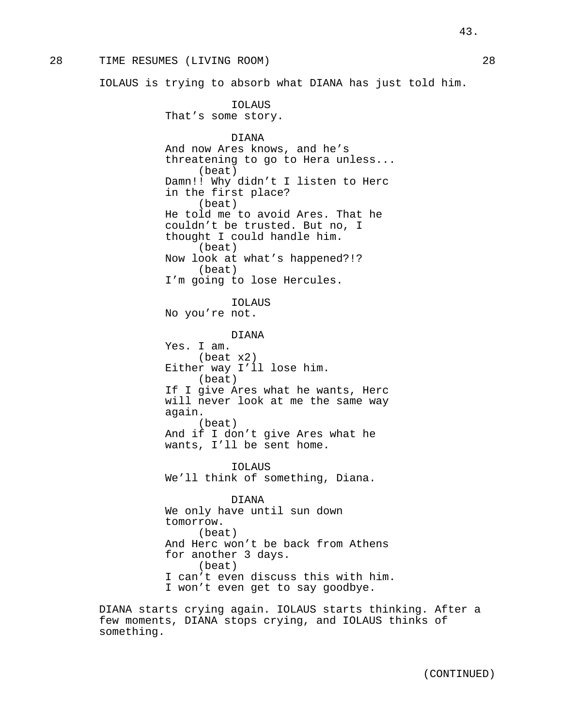# 28 TIME RESUMES (LIVING ROOM) 28

IOLAUS is trying to absorb what DIANA has just told him.

IOLAUS That's some story. DIANA And now Ares knows, and he's threatening to go to Hera unless... (beat) Damn!! Why didn't I listen to Herc in the first place? (beat) He told me to avoid Ares. That he couldn't be trusted. But no, I thought I could handle him. (beat) Now look at what's happened?!? (beat) I'm going to lose Hercules. IOLAUS No you're not. DIANA Yes. I am. (beat x2) Either way I'll lose him. (beat) If I give Ares what he wants, Herc will never look at me the same way again. (beat) And if I don't give Ares what he wants, I'll be sent home. IOLAUS We'll think of something, Diana. DIANA We only have until sun down tomorrow. (beat) And Herc won't be back from Athens for another 3 days. (beat) I can't even discuss this with him. I won't even get to say goodbye.

DIANA starts crying again. IOLAUS starts thinking. After a few moments, DIANA stops crying, and IOLAUS thinks of something.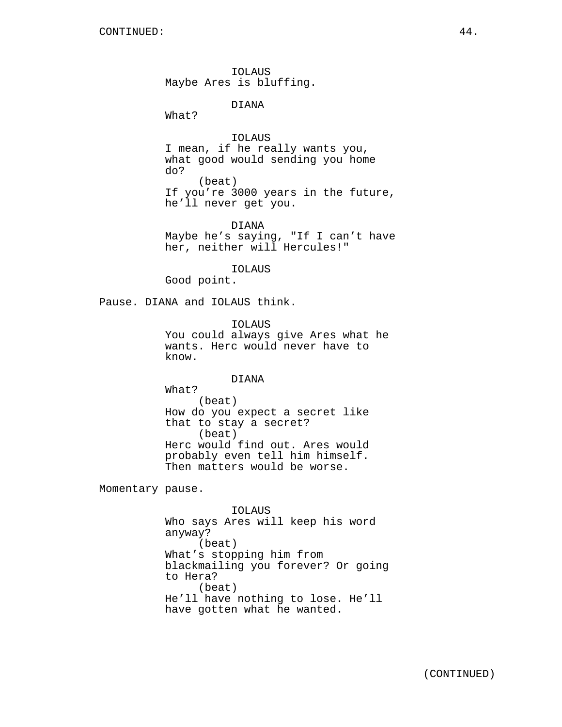IOLAUS Maybe Ares is bluffing.

DIANA

What?

IOLAUS I mean, if he really wants you, what good would sending you home do? (beat) If you're 3000 years in the future, he'll never get you.

DIANA Maybe he's saying, "If I can't have her, neither will Hercules!"

IOLAUS

Good point.

Pause. DIANA and IOLAUS think.

IOLAUS You could always give Ares what he wants. Herc would never have to know.

DIANA

What? (beat) How do you expect a secret like that to stay a secret? (beat) Herc would find out. Ares would probably even tell him himself. Then matters would be worse.

Momentary pause.

IOLAUS Who says Ares will keep his word anyway? (beat) What's stopping him from blackmailing you forever? Or going to Hera? (beat) He'll have nothing to lose. He'll have gotten what he wanted.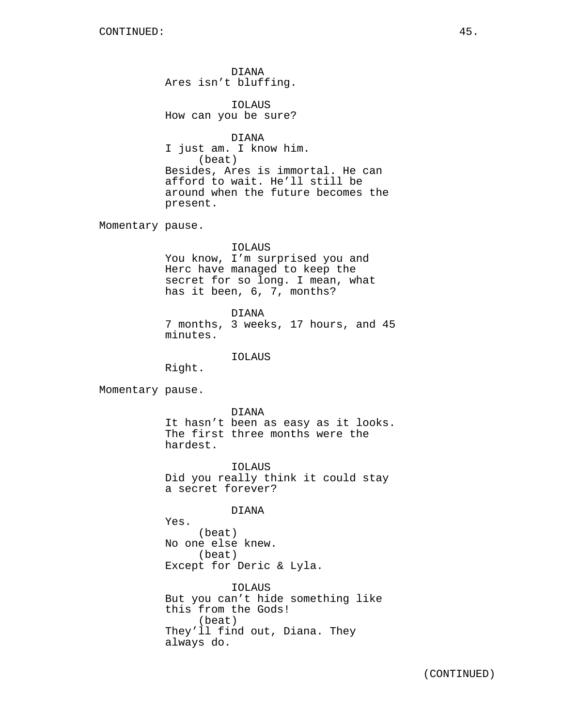DIANA Ares isn't bluffing.

IOLAUS How can you be sure?

DIANA I just am. I know him. (beat) Besides, Ares is immortal. He can afford to wait. He'll still be around when the future becomes the present.

Momentary pause.

# IOLAUS

You know, I'm surprised you and Herc have managed to keep the secret for so long. I mean, what has it been, 6, 7, months?

DIANA 7 months, 3 weeks, 17 hours, and 45 minutes.

IOLAUS

Right.

Momentary pause.

DIANA It hasn't been as easy as it looks. The first three months were the hardest.

IOLAUS Did you really think it could stay a secret forever?

# DIANA

Yes. (beat) No one else knew. (beat) Except for Deric & Lyla.

IOLAUS But you can't hide something like this from the Gods! (beat) They'll find out, Diana. They always do.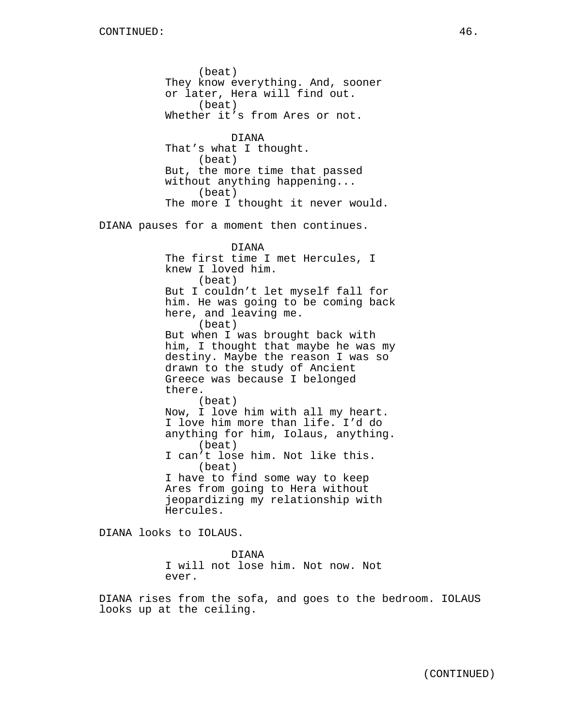(beat) They know everything. And, sooner or later, Hera will find out. (beat) Whether it's from Ares or not. DIANA That's what I thought. (beat) But, the more time that passed without anything happening... (beat) The more I thought it never would. DIANA pauses for a moment then continues. DIANA The first time I met Hercules, I knew I loved him. (beat) But I couldn't let myself fall for him. He was going to be coming back here, and leaving me. (beat) But when I was brought back with him, I thought that maybe he was my destiny. Maybe the reason I was so drawn to the study of Ancient Greece was because I belonged there. (beat) Now, I love him with all my heart. I love him more than life. I'd do anything for him, Iolaus, anything. (beat) I can't lose him. Not like this. (beat) I have to find some way to keep Ares from going to Hera without jeopardizing my relationship with Hercules.

DIANA looks to IOLAUS.

DIANA I will not lose him. Not now. Not ever.

DIANA rises from the sofa, and goes to the bedroom. IOLAUS looks up at the ceiling.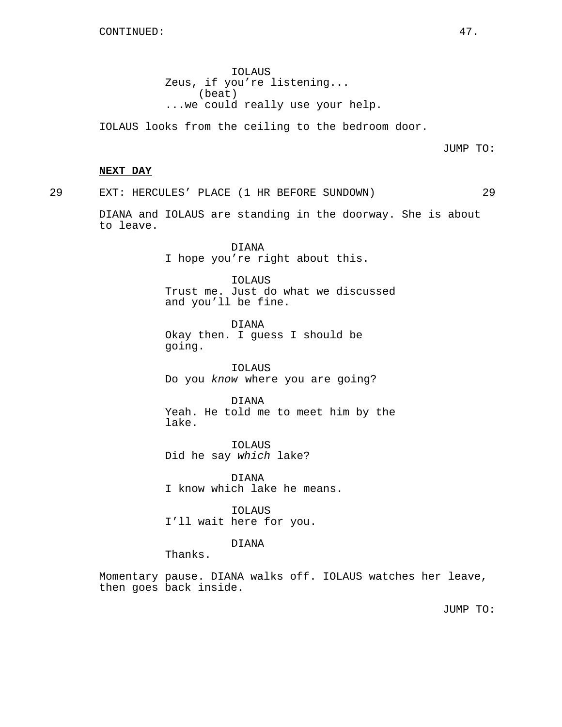IOLAUS Zeus, if you're listening... (beat) ...we could really use your help.

IOLAUS looks from the ceiling to the bedroom door.

JUMP TO:

#### **NEXT DAY**

29 EXT: HERCULES' PLACE (1 HR BEFORE SUNDOWN) 29

DIANA and IOLAUS are standing in the doorway. She is about to leave.

> DIANA I hope you're right about this.

IOLAUS Trust me. Just do what we discussed and you'll be fine.

DIANA Okay then. I guess I should be going.

IOLAUS Do you know where you are going?

DIANA Yeah. He told me to meet him by the lake.

IOLAUS Did he say which lake?

DIANA I know which lake he means.

IOLAUS I'll wait here for you.

DIANA

Thanks.

Momentary pause. DIANA walks off. IOLAUS watches her leave, then goes back inside.

JUMP TO: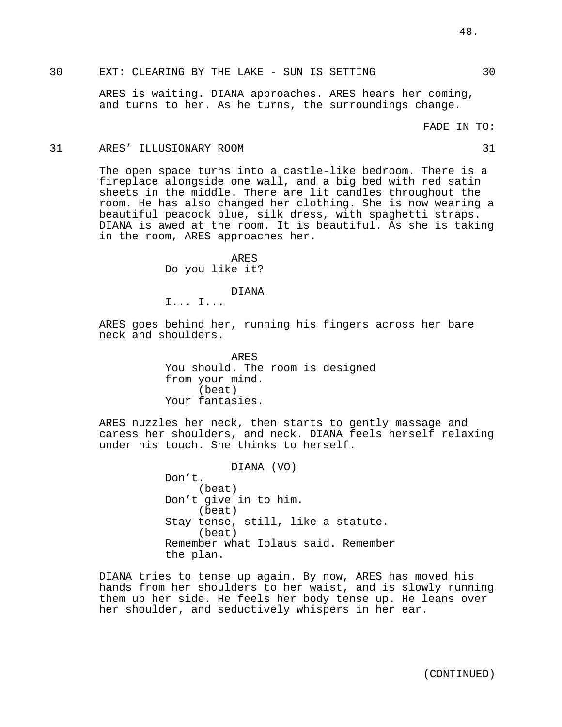ARES is waiting. DIANA approaches. ARES hears her coming, and turns to her. As he turns, the surroundings change.

FADE IN TO:

#### 31 ARES' ILLUSIONARY ROOM 31

The open space turns into a castle-like bedroom. There is a fireplace alongside one wall, and a big bed with red satin sheets in the middle. There are lit candles throughout the room. He has also changed her clothing. She is now wearing a beautiful peacock blue, silk dress, with spaghetti straps. DIANA is awed at the room. It is beautiful. As she is taking in the room, ARES approaches her.

> ARES Do you like it?

> > DIANA

I... I...

ARES goes behind her, running his fingers across her bare neck and shoulders.

> ARES You should. The room is designed from your mind. (beat) Your fantasies.

ARES nuzzles her neck, then starts to gently massage and caress her shoulders, and neck. DIANA feels herself relaxing under his touch. She thinks to herself.

> DIANA (VO) Don't. (beat) Don't give in to him. (beat) Stay tense, still, like a statute. (beat) Remember what Iolaus said. Remember the plan.

DIANA tries to tense up again. By now, ARES has moved his hands from her shoulders to her waist, and is slowly running them up her side. He feels her body tense up. He leans over her shoulder, and seductively whispers in her ear.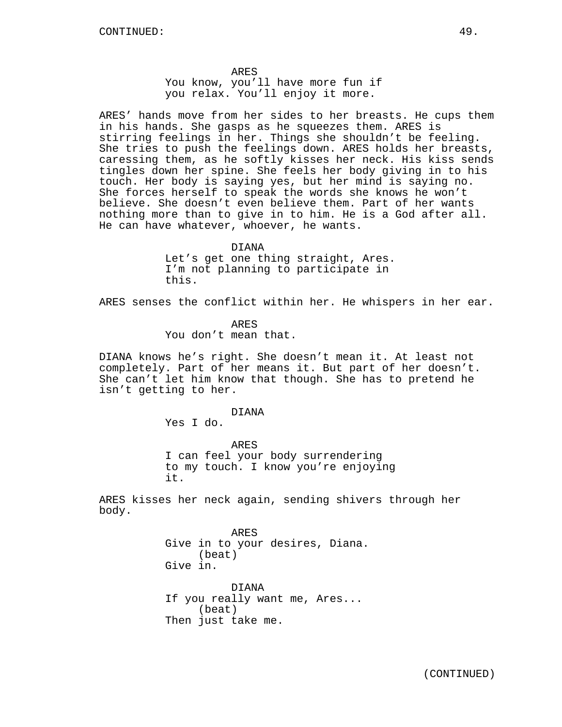ARES You know, you'll have more fun if you relax. You'll enjoy it more.

ARES' hands move from her sides to her breasts. He cups them in his hands. She gasps as he squeezes them. ARES is stirring feelings in her. Things she shouldn't be feeling. She tries to push the feelings down. ARES holds her breasts, caressing them, as he softly kisses her neck. His kiss sends tingles down her spine. She feels her body giving in to his touch. Her body is saying yes, but her mind is saying no. She forces herself to speak the words she knows he won't believe. She doesn't even believe them. Part of her wants nothing more than to give in to him. He is a God after all. He can have whatever, whoever, he wants.

> DIANA Let's get one thing straight, Ares. I'm not planning to participate in this.

ARES senses the conflict within her. He whispers in her ear.

ARES You don't mean that.

DIANA knows he's right. She doesn't mean it. At least not completely. Part of her means it. But part of her doesn't. She can't let him know that though. She has to pretend he isn't getting to her.

#### DIANA

Yes I do.

ARES I can feel your body surrendering to my touch. I know you're enjoying it.

ARES kisses her neck again, sending shivers through her body.

> ARES Give in to your desires, Diana. (beat) Give in.

DIANA If you really want me, Ares... (beat) Then just take me.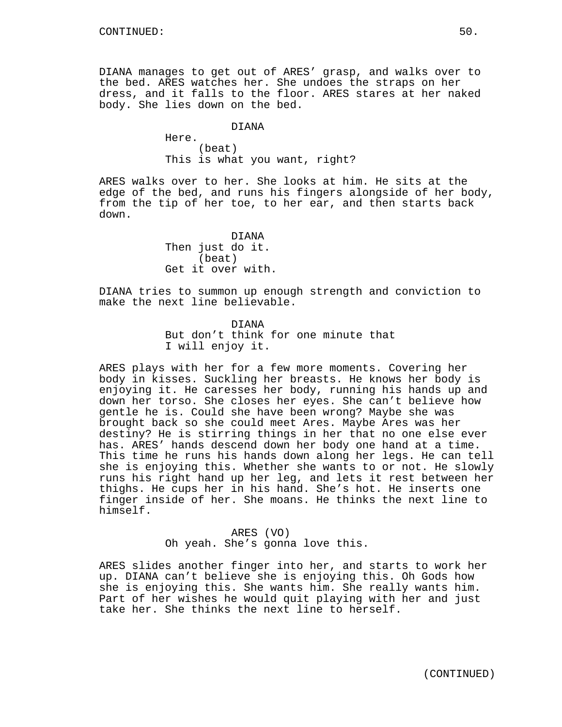DIANA manages to get out of ARES' grasp, and walks over to the bed. ARES watches her. She undoes the straps on her dress, and it falls to the floor. ARES stares at her naked body. She lies down on the bed.

# DIANA

Here. (beat) This is what you want, right?

ARES walks over to her. She looks at him. He sits at the edge of the bed, and runs his fingers alongside of her body, from the tip of her toe, to her ear, and then starts back down.

> DIANA Then just do it. (beat) Get it over with.

DIANA tries to summon up enough strength and conviction to make the next line believable.

> DIANA But don't think for one minute that I will enjoy it.

ARES plays with her for a few more moments. Covering her body in kisses. Suckling her breasts. He knows her body is enjoying it. He caresses her body, running his hands up and down her torso. She closes her eyes. She can't believe how gentle he is. Could she have been wrong? Maybe she was brought back so she could meet Ares. Maybe Ares was her destiny? He is stirring things in her that no one else ever has. ARES' hands descend down her body one hand at a time. This time he runs his hands down along her legs. He can tell she is enjoying this. Whether she wants to or not. He slowly runs his right hand up her leg, and lets it rest between her thighs. He cups her in his hand. She's hot. He inserts one finger inside of her. She moans. He thinks the next line to himself.

> ARES (VO) Oh yeah. She's gonna love this.

ARES slides another finger into her, and starts to work her up. DIANA can't believe she is enjoying this. Oh Gods how she is enjoying this. She wants him. She really wants him. Part of her wishes he would quit playing with her and just take her. She thinks the next line to herself.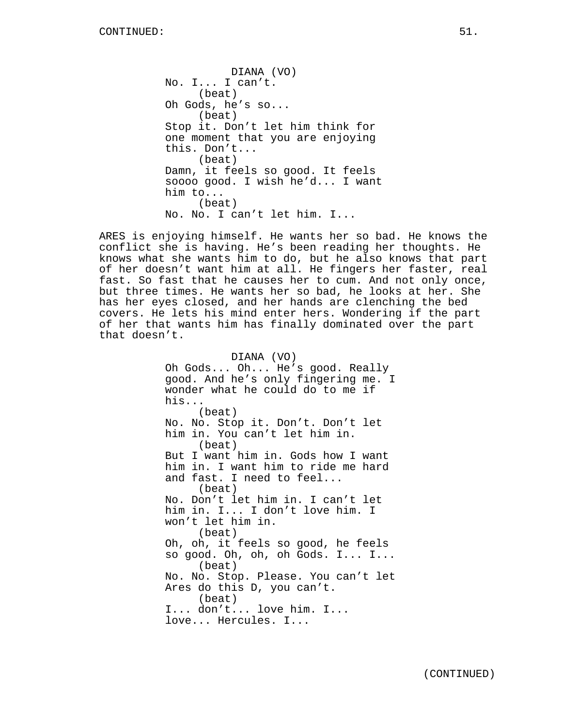DIANA (VO) No. I... I can't. (beat) Oh Gods, he's so... (beat) Stop it. Don't let him think for one moment that you are enjoying this. Don't... (beat) Damn, it feels so good. It feels soooo good. I wish he'd... I want him to... (beat) No. No. I can't let him. I...

ARES is enjoying himself. He wants her so bad. He knows the conflict she is having. He's been reading her thoughts. He knows what she wants him to do, but he also knows that part of her doesn't want him at all. He fingers her faster, real fast. So fast that he causes her to cum. And not only once, but three times. He wants her so bad, he looks at her. She has her eyes closed, and her hands are clenching the bed covers. He lets his mind enter hers. Wondering if the part of her that wants him has finally dominated over the part that doesn't.

> DIANA (VO) Oh Gods... Oh... He's good. Really good. And he's only fingering me. I wonder what he could do to me if his... (beat) No. No. Stop it. Don't. Don't let him in. You can't let him in. (beat) But I want him in. Gods how I want him in. I want him to ride me hard and fast. I need to feel... (beat) No. Don't let him in. I can't let him in. I... I don't love him. I won't let him in. (beat) Oh, oh, it feels so good, he feels so good. Oh, oh, oh Gods. I... I... (beat) No. No. Stop. Please. You can't let Ares do this D, you can't. (beat) I... don't... love him. I... love... Hercules. I...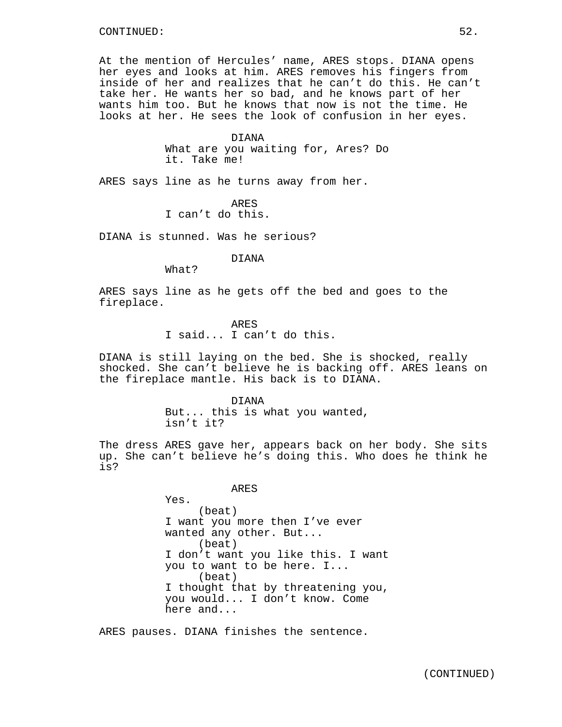At the mention of Hercules' name, ARES stops. DIANA opens her eyes and looks at him. ARES removes his fingers from inside of her and realizes that he can't do this. He can't take her. He wants her so bad, and he knows part of her wants him too. But he knows that now is not the time. He looks at her. He sees the look of confusion in her eyes.

#### DIANA

What are you waiting for, Ares? Do it. Take me!

ARES says line as he turns away from her.

ARES I can't do this.

DIANA is stunned. Was he serious?

DIANA

What?

ARES says line as he gets off the bed and goes to the fireplace.

ARES

I said... I can't do this.

DIANA is still laying on the bed. She is shocked, really shocked. She can't believe he is backing off. ARES leans on the fireplace mantle. His back is to DIANA.

#### DIANA

But... this is what you wanted, isn't it?

The dress ARES gave her, appears back on her body. She sits up. She can't believe he's doing this. Who does he think he is?

ARES

Yes. (beat) I want you more then I've ever wanted any other. But... (beat) I don't want you like this. I want you to want to be here. I... (beat) I thought that by threatening you, you would... I don't know. Come here and...

ARES pauses. DIANA finishes the sentence.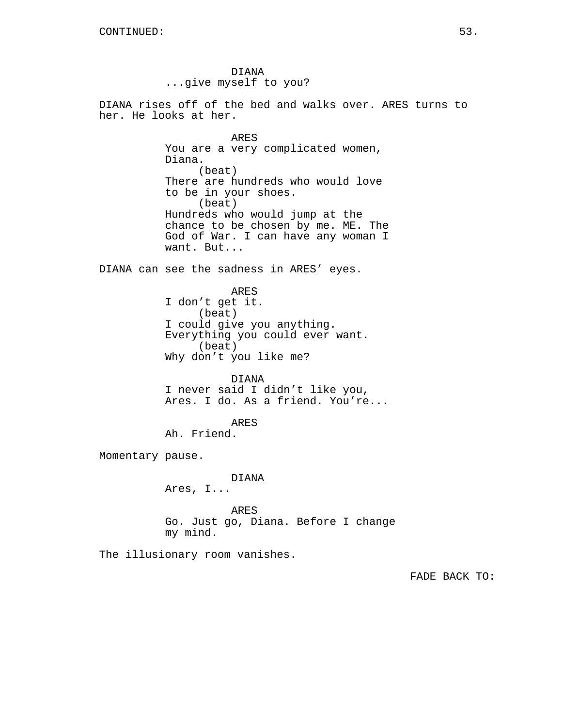DIANA ...give myself to you?

DIANA rises off of the bed and walks over. ARES turns to her. He looks at her.

> ARES You are a very complicated women, Diana. (beat) There are hundreds who would love to be in your shoes. (beat) Hundreds who would jump at the chance to be chosen by me. ME. The God of War. I can have any woman I want. But...

DIANA can see the sadness in ARES' eyes.

ARES I don't get it. (beat) I could give you anything. Everything you could ever want. (beat) Why don't you like me?

DIANA I never said I didn't like you, Ares. I do. As a friend. You're...

ARES Ah. Friend.

Momentary pause.

DIANA Ares, I...

ARES Go. Just go, Diana. Before I change my mind.

The illusionary room vanishes.

FADE BACK TO: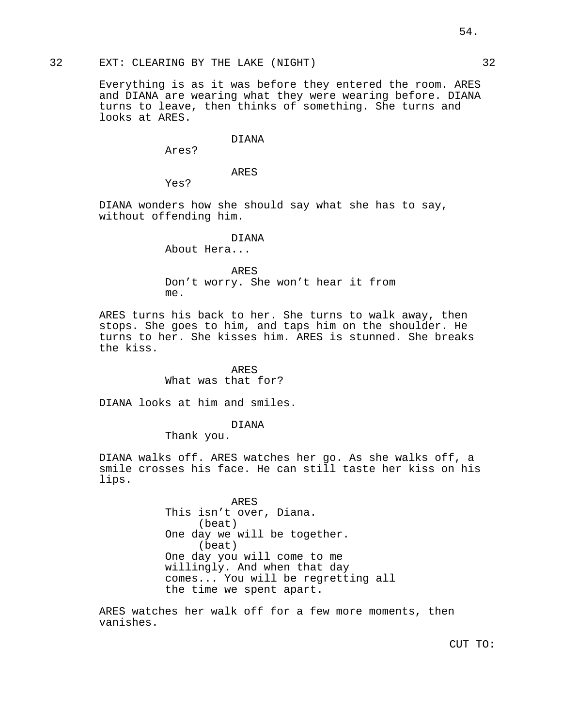## 32 EXT: CLEARING BY THE LAKE (NIGHT) 32

Everything is as it was before they entered the room. ARES and DIANA are wearing what they were wearing before. DIANA turns to leave, then thinks of something. She turns and looks at ARES.

#### DIANA

Ares?

ARES

Yes?

DIANA wonders how she should say what she has to say, without offending him.

DIANA

About Hera...

ARES Don't worry. She won't hear it from me.

ARES turns his back to her. She turns to walk away, then stops. She goes to him, and taps him on the shoulder. He turns to her. She kisses him. ARES is stunned. She breaks the kiss.

> ARES What was that for?

DIANA looks at him and smiles.

# DIANA

Thank you.

DIANA walks off. ARES watches her go. As she walks off, a smile crosses his face. He can still taste her kiss on his lips.

> ARES This isn't over, Diana. (beat) One day we will be together. (beat) One day you will come to me willingly. And when that day comes... You will be regretting all the time we spent apart.

ARES watches her walk off for a few more moments, then vanishes.

54.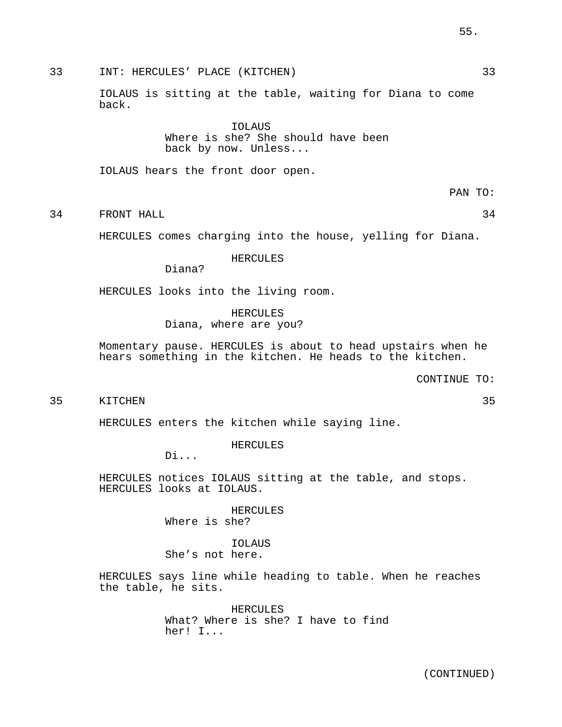33 INT: HERCULES' PLACE (KITCHEN) 33

IOLAUS is sitting at the table, waiting for Diana to come back.

> IOLAUS Where is she? She should have been back by now. Unless...

IOLAUS hears the front door open.

34 FRONT HALL 34

HERCULES comes charging into the house, yelling for Diana.

HERCULES

Diana?

HERCULES looks into the living room.

HERCULES Diana, where are you?

Momentary pause. HERCULES is about to head upstairs when he hears something in the kitchen. He heads to the kitchen.

CONTINUE TO:

35 KITCHEN 35

HERCULES enters the kitchen while saying line.

HERCULES

Di...

HERCULES notices IOLAUS sitting at the table, and stops. HERCULES looks at IOLAUS.

> HERCULES Where is she?

IOLAUS She's not here.

HERCULES says line while heading to table. When he reaches the table, he sits.

> HERCULES What? Where is she? I have to find her! I...

# 55.

PAN TO: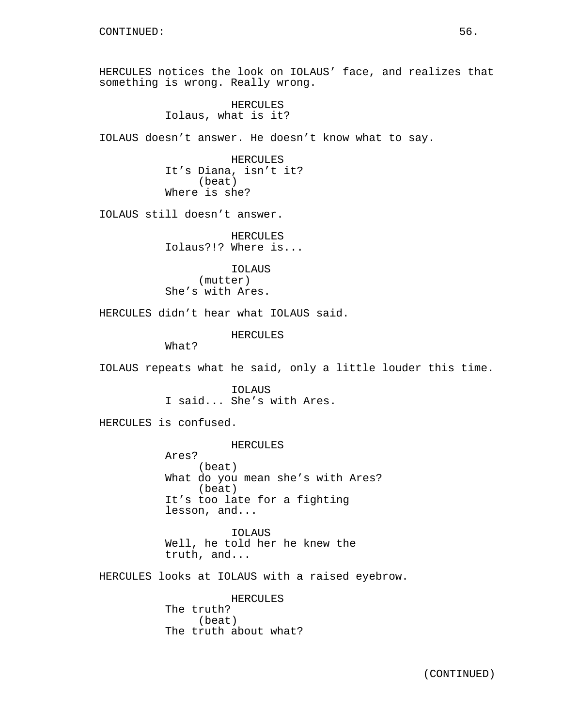HERCULES notices the look on IOLAUS' face, and realizes that something is wrong. Really wrong.

> HERCULES Iolaus, what is it?

IOLAUS doesn't answer. He doesn't know what to say.

HERCULES It's Diana, isn't it? (beat) Where is she?

IOLAUS still doesn't answer.

HERCULES Iolaus?!? Where is...

IOLAUS (mutter) She's with Ares.

HERCULES didn't hear what IOLAUS said.

HERCULES

What?

IOLAUS repeats what he said, only a little louder this time.

IOLAUS I said... She's with Ares.

HERCULES is confused.

HERCULES

Ares? (beat) What do you mean she's with Ares? (beat) It's too late for a fighting lesson, and...

IOLAUS Well, he told her he knew the truth, and...

HERCULES looks at IOLAUS with a raised eyebrow.

HERCULES The truth? (beat) The truth about what?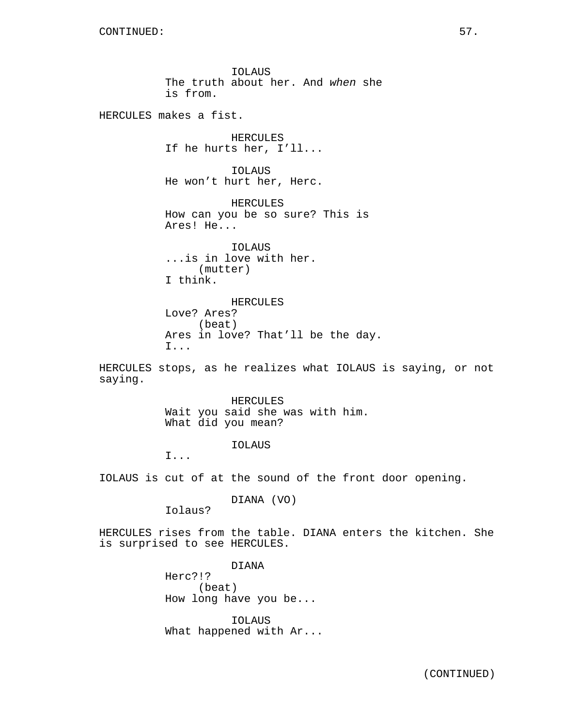IOLAUS The truth about her. And when she is from. HERCULES makes a fist. HERCULES If he hurts her, I'll... IOLAUS He won't hurt her, Herc. HERCULES How can you be so sure? This is Ares! He... IOLAUS ...is in love with her. (mutter) I think. HERCULES Love? Ares? (beat) Ares in love? That'll be the day. I... HERCULES stops, as he realizes what IOLAUS is saying, or not saying. HERCULES Wait you said she was with him. What did you mean? IOLAUS I... IOLAUS is cut of at the sound of the front door opening. DIANA (VO) Iolaus? HERCULES rises from the table. DIANA enters the kitchen. She is surprised to see HERCULES. DIANA Herc?!? (beat) How long have you be...

> IOLAUS What happened with Ar...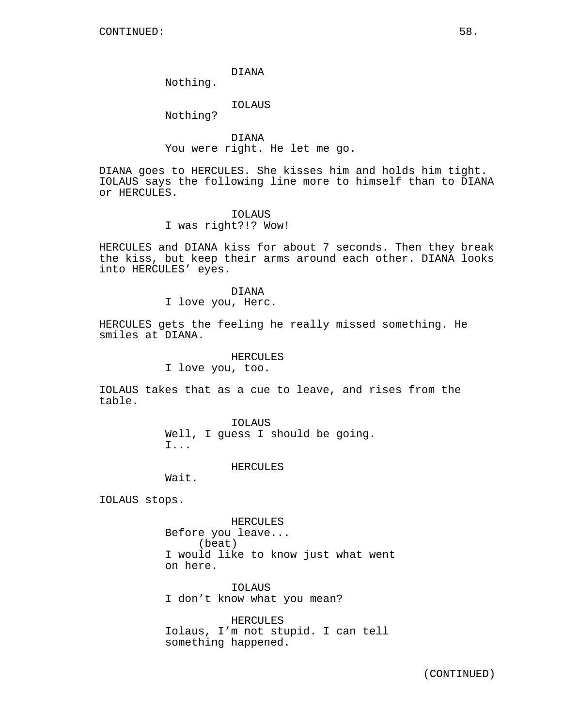DIANA

Nothing.

IOLAUS

Nothing?

DIANA You were right. He let me go.

DIANA goes to HERCULES. She kisses him and holds him tight. IOLAUS says the following line more to himself than to DIANA or HERCULES.

> IOLAUS I was right?!? Wow!

HERCULES and DIANA kiss for about 7 seconds. Then they break the kiss, but keep their arms around each other. DIANA looks into HERCULES' eyes.

> DIANA I love you, Herc.

HERCULES gets the feeling he really missed something. He smiles at DIANA.

HERCULES

I love you, too.

IOLAUS takes that as a cue to leave, and rises from the table.

> IOLAUS Well, I guess I should be going. I...

> > HERCULES

Wait.

IOLAUS stops.

HERCULES Before you leave... (beat) I would like to know just what went on here.

IOLAUS I don't know what you mean?

HERCULES Iolaus, I'm not stupid. I can tell something happened.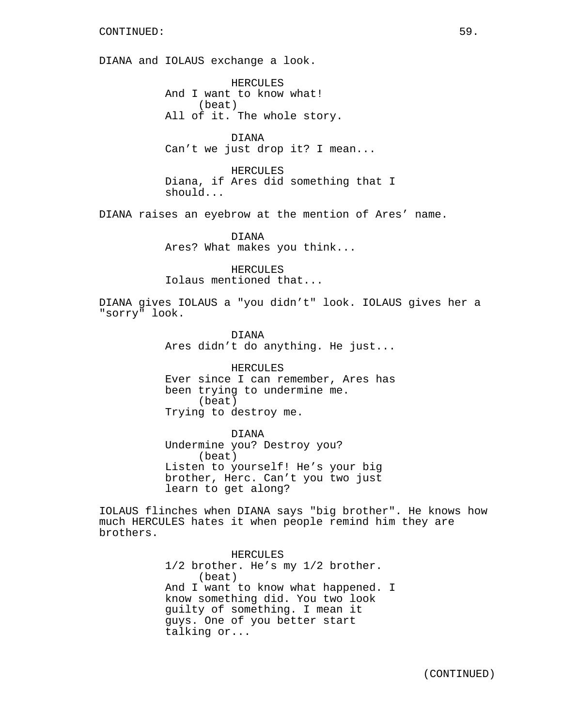DIANA and IOLAUS exchange a look.

HERCULES And I want to know what! (beat) All of it. The whole story.

DIANA Can't we just drop it? I mean...

HERCULES Diana, if Ares did something that I should...

DIANA raises an eyebrow at the mention of Ares' name.

DIANA Ares? What makes you think...

HERCULES Iolaus mentioned that...

DIANA gives IOLAUS a "you didn't" look. IOLAUS gives her a "sorry" look.

> DIANA Ares didn't do anything. He just...

> HERCULES Ever since I can remember, Ares has been trying to undermine me. (beat) Trying to destroy me.

DIANA Undermine you? Destroy you? (beat) Listen to yourself! He's your big brother, Herc. Can't you two just learn to get along?

IOLAUS flinches when DIANA says "big brother". He knows how much HERCULES hates it when people remind him they are brothers.

> HERCULES 1/2 brother. He's my 1/2 brother. (beat) And I want to know what happened. I know something did. You two look guilty of something. I mean it guys. One of you better start talking or...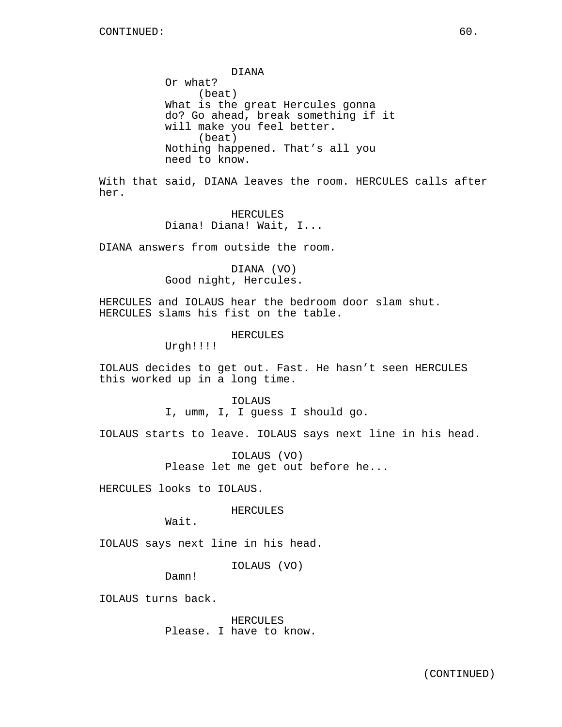DIANA Or what? (beat) What is the great Hercules gonna do? Go ahead, break something if it will make you feel better. (beat) Nothing happened. That's all you need to know.

With that said, DIANA leaves the room. HERCULES calls after her.

> HERCULES Diana! Diana! Wait, I...

DIANA answers from outside the room.

DIANA (VO) Good night, Hercules.

HERCULES and IOLAUS hear the bedroom door slam shut. HERCULES slams his fist on the table.

HERCULES

Urgh!!!!

IOLAUS decides to get out. Fast. He hasn't seen HERCULES this worked up in a long time.

IOLAUS

I, umm, I, I guess I should go.

IOLAUS starts to leave. IOLAUS says next line in his head.

IOLAUS (VO) Please let me get out before he...

HERCULES looks to IOLAUS.

HERCULES

Wait.

IOLAUS says next line in his head.

IOLAUS (VO)

Damn!

IOLAUS turns back.

HERCULES Please. I have to know.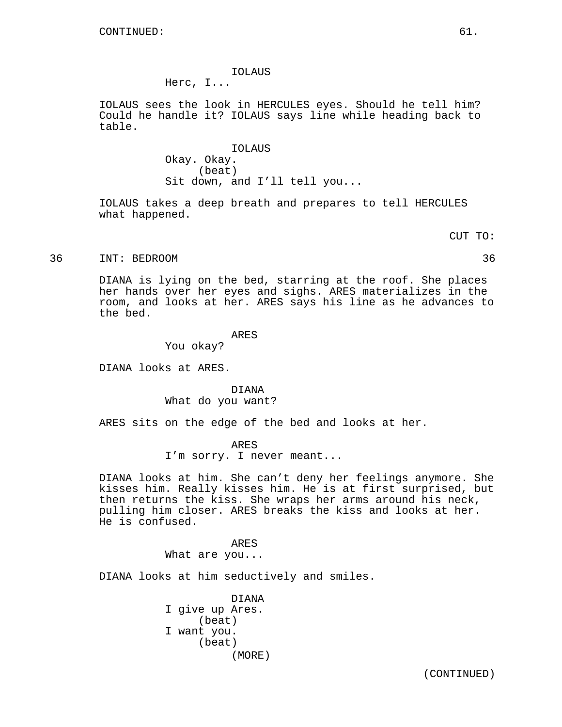#### IOLAUS

Herc, I...

IOLAUS sees the look in HERCULES eyes. Should he tell him? Could he handle it? IOLAUS says line while heading back to table.

> IOLAUS Okay. Okay. (beat) Sit down, and I'll tell you...

IOLAUS takes a deep breath and prepares to tell HERCULES what happened.

CUT TO:

36 INT: BEDROOM 36

DIANA is lying on the bed, starring at the roof. She places her hands over her eyes and sighs. ARES materializes in the room, and looks at her. ARES says his line as he advances to the bed.

ARES

You okay?

DIANA looks at ARES.

DIANA What do you want?

ARES sits on the edge of the bed and looks at her.

ARES I'm sorry. I never meant...

DIANA looks at him. She can't deny her feelings anymore. She kisses him. Really kisses him. He is at first surprised, but then returns the kiss. She wraps her arms around his neck, pulling him closer. ARES breaks the kiss and looks at her. He is confused.

> ARES What are you...

DIANA looks at him seductively and smiles.

DIANA I give up Ares. (beat) I want you. (beat) (MORE)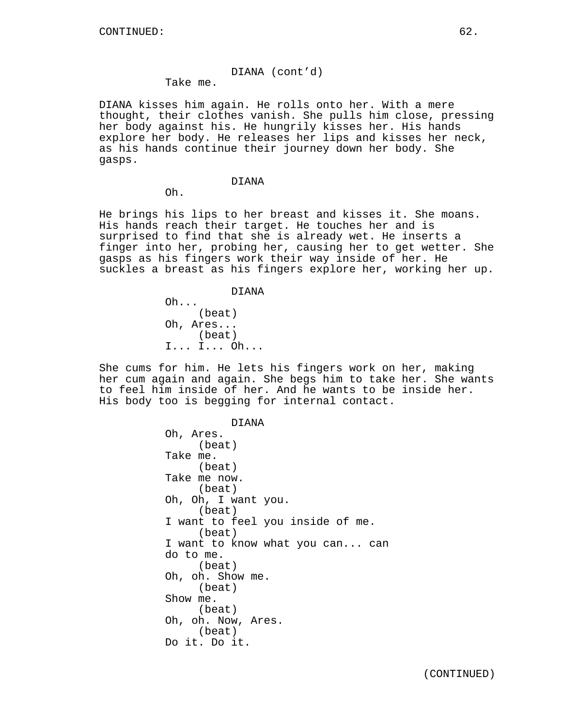# DIANA (cont'd)

Take me.

DIANA kisses him again. He rolls onto her. With a mere thought, their clothes vanish. She pulls him close, pressing her body against his. He hungrily kisses her. His hands explore her body. He releases her lips and kisses her neck, as his hands continue their journey down her body. She gasps.

# DIANA

Oh.

He brings his lips to her breast and kisses it. She moans. His hands reach their target. He touches her and is surprised to find that she is already wet. He inserts a finger into her, probing her, causing her to get wetter. She gasps as his fingers work their way inside of her. He suckles a breast as his fingers explore her, working her up.

DIANA

Oh... (beat) Oh, Ares... (beat) I... I... Oh...

She cums for him. He lets his fingers work on her, making her cum again and again. She begs him to take her. She wants to feel him inside of her. And he wants to be inside her. His body too is begging for internal contact.

> DIANA Oh, Ares. (beat) Take me. (beat) Take me now. (beat) Oh, Oh, I want you. (beat) I want to feel you inside of me. (beat) I want to know what you can... can do to me. (beat) Oh, oh. Show me. (beat) Show me. (beat) Oh, oh. Now, Ares. (beat) Do it. Do it.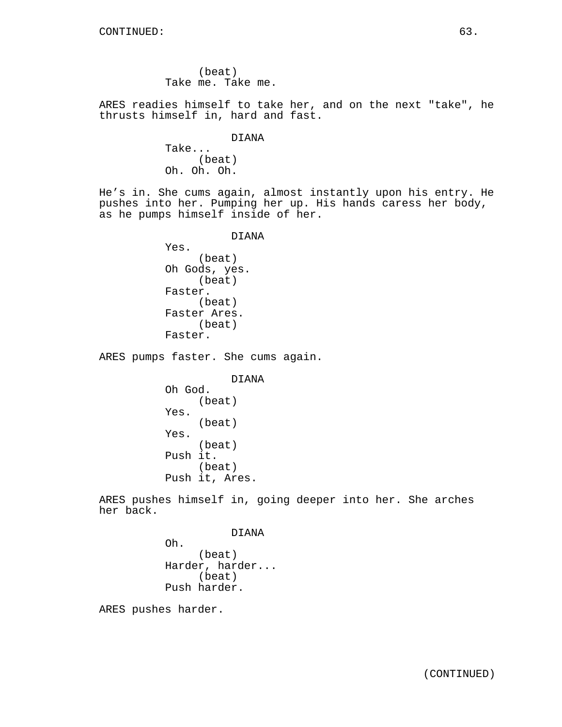(beat) Take me. Take me.

ARES readies himself to take her, and on the next "take", he thrusts himself in, hard and fast.

DIANA

Take... (beat) Oh. Oh. Oh.

He's in. She cums again, almost instantly upon his entry. He pushes into her. Pumping her up. His hands caress her body, as he pumps himself inside of her.

DIANA

Yes. (beat) Oh Gods, yes. (beat) Faster. (beat) Faster Ares. (beat) Faster.

ARES pumps faster. She cums again.

DIANA Oh God. (beat) Yes. (beat) Yes. (beat) Push it. (beat) Push it, Ares.

ARES pushes himself in, going deeper into her. She arches her back.

DIANA

Oh. (beat) Harder, harder... (beat) Push harder.

ARES pushes harder.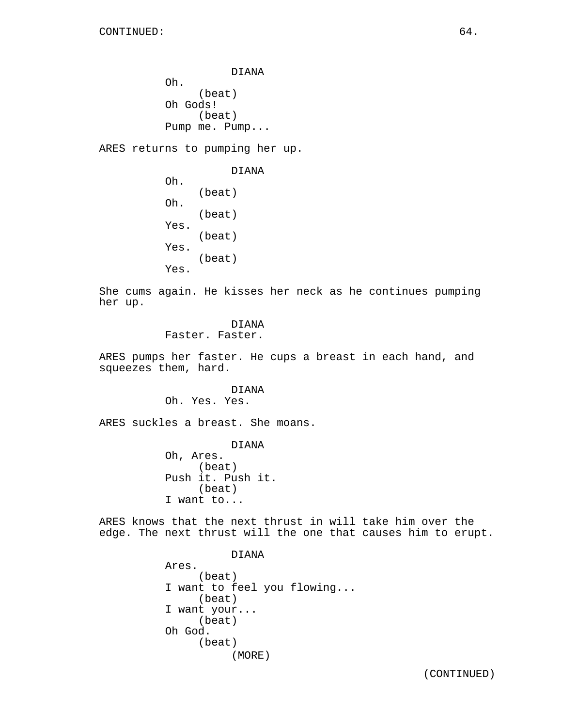DIANA Oh. (beat) Oh Gods! (beat) Pump me. Pump...

ARES returns to pumping her up.

DIANA Oh. (beat) Oh. (beat) Yes. (beat) Yes. (beat) Yes.

She cums again. He kisses her neck as he continues pumping her up.

> DIANA Faster. Faster.

ARES pumps her faster. He cups a breast in each hand, and squeezes them, hard.

> DIANA Oh. Yes. Yes.

ARES suckles a breast. She moans.

DIANA Oh, Ares. (beat) Push it. Push it. (beat) I want to...

ARES knows that the next thrust in will take him over the edge. The next thrust will the one that causes him to erupt.

> DIANA Ares. (beat) I want to feel you flowing... (beat) I want your... (beat) Oh God. (beat) (MORE)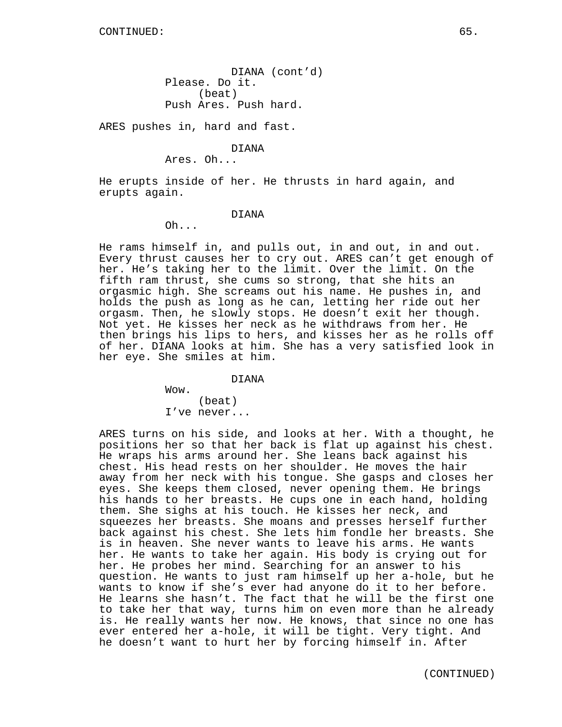DIANA (cont'd) Please. Do it. (beat) Push Ares. Push hard.

ARES pushes in, hard and fast.

DIANA

Ares. Oh...

He erupts inside of her. He thrusts in hard again, and erupts again.

#### DIANA

 $Oh...$ 

He rams himself in, and pulls out, in and out, in and out. Every thrust causes her to cry out. ARES can't get enough of her. He's taking her to the limit. Over the limit. On the fifth ram thrust, she cums so strong, that she hits an orgasmic high. She screams out his name. He pushes in, and holds the push as long as he can, letting her ride out her orgasm. Then, he slowly stops. He doesn't exit her though. Not yet. He kisses her neck as he withdraws from her. He then brings his lips to hers, and kisses her as he rolls off of her. DIANA looks at him. She has a very satisfied look in her eye. She smiles at him.

DIANA

Wow. (beat) I've never...

ARES turns on his side, and looks at her. With a thought, he positions her so that her back is flat up against his chest. He wraps his arms around her. She leans back against his chest. His head rests on her shoulder. He moves the hair away from her neck with his tongue. She gasps and closes her eyes. She keeps them closed, never opening them. He brings his hands to her breasts. He cups one in each hand, holding them. She sighs at his touch. He kisses her neck, and squeezes her breasts. She moans and presses herself further back against his chest. She lets him fondle her breasts. She is in heaven. She never wants to leave his arms. He wants her. He wants to take her again. His body is crying out for her. He probes her mind. Searching for an answer to his question. He wants to just ram himself up her a-hole, but he wants to know if she's ever had anyone do it to her before. He learns she hasn't. The fact that he will be the first one to take her that way, turns him on even more than he already is. He really wants her now. He knows, that since no one has ever entered her a-hole, it will be tight. Very tight. And he doesn't want to hurt her by forcing himself in. After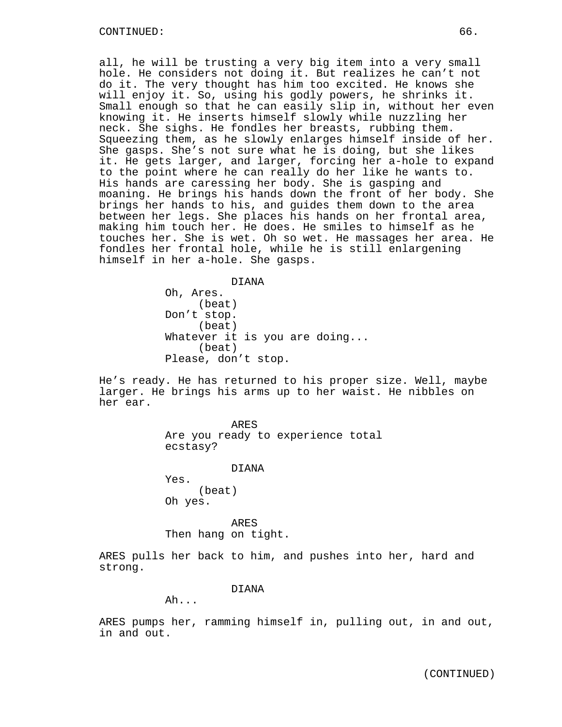all, he will be trusting a very big item into a very small hole. He considers not doing it. But realizes he can't not do it. The very thought has him too excited. He knows she will enjoy it. So, using his godly powers, he shrinks it. Small enough so that he can easily slip in, without her even knowing it. He inserts himself slowly while nuzzling her neck. She sighs. He fondles her breasts, rubbing them. Squeezing them, as he slowly enlarges himself inside of her. She gasps. She's not sure what he is doing, but she likes it. He gets larger, and larger, forcing her a-hole to expand to the point where he can really do her like he wants to. His hands are caressing her body. She is gasping and moaning. He brings his hands down the front of her body. She brings her hands to his, and guides them down to the area between her legs. She places his hands on her frontal area, making him touch her. He does. He smiles to himself as he touches her. She is wet. Oh so wet. He massages her area. He fondles her frontal hole, while he is still enlargening himself in her a-hole. She gasps.

DIANA

Oh, Ares. (beat) Don't stop. (beat) Whatever it is you are doing... (beat) Please, don't stop.

He's ready. He has returned to his proper size. Well, maybe larger. He brings his arms up to her waist. He nibbles on her ear.

> ARES Are you ready to experience total ecstasy?

> > DIANA

Yes. (beat) Oh yes.

ARES Then hang on tight.

ARES pulls her back to him, and pushes into her, hard and strong.

DIANA

Ah...

ARES pumps her, ramming himself in, pulling out, in and out, in and out.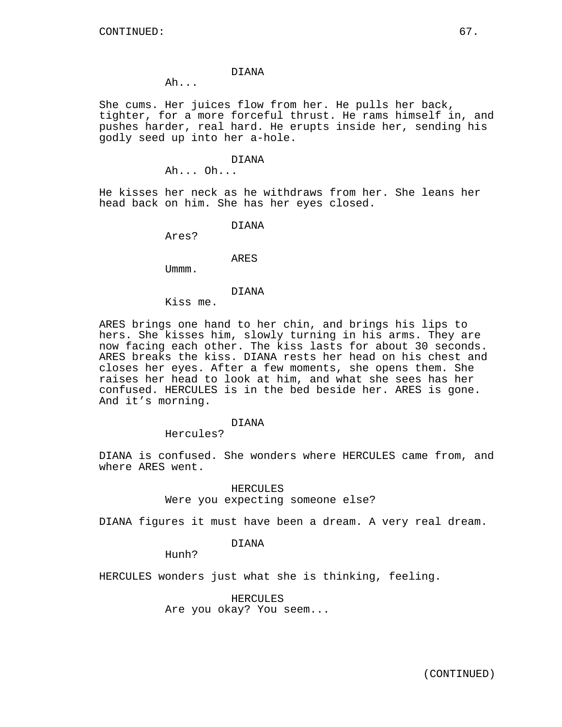#### DIANA

Ah...

She cums. Her juices flow from her. He pulls her back, tighter, for a more forceful thrust. He rams himself in, and pushes harder, real hard. He erupts inside her, sending his godly seed up into her a-hole.

#### DIANA

Ah... Oh...

He kisses her neck as he withdraws from her. She leans her head back on him. She has her eyes closed.

DIANA

Ares?

ARES

Ummm.

## DIANA

Kiss me.

ARES brings one hand to her chin, and brings his lips to hers. She kisses him, slowly turning in his arms. They are now facing each other. The kiss lasts for about 30 seconds. ARES breaks the kiss. DIANA rests her head on his chest and closes her eyes. After a few moments, she opens them. She raises her head to look at him, and what she sees has her confused. HERCULES is in the bed beside her. ARES is gone. And it's morning.

#### DIANA

Hercules?

DIANA is confused. She wonders where HERCULES came from, and where ARES went.

> HERCULES Were you expecting someone else?

DIANA figures it must have been a dream. A very real dream.

## DIANA

Hunh?

HERCULES wonders just what she is thinking, feeling.

HERCULES Are you okay? You seem...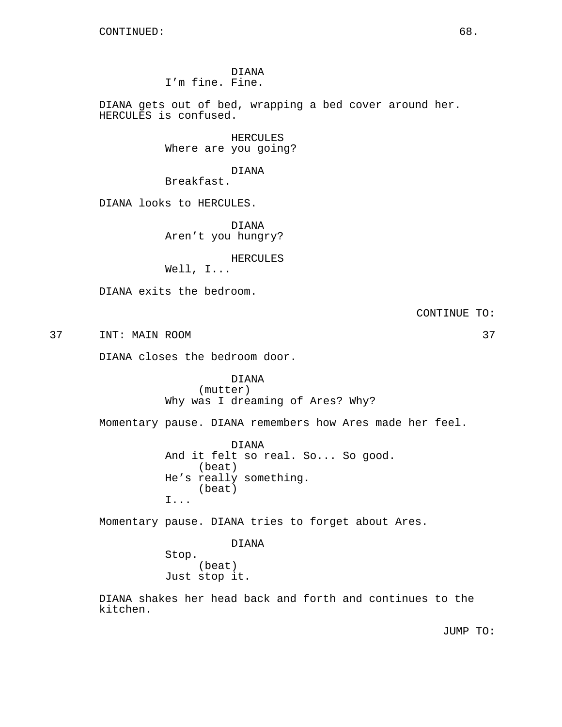DIANA I'm fine. Fine.

DIANA gets out of bed, wrapping a bed cover around her. HERCULES is confused.

> HERCULES Where are you going?

> > DIANA

Breakfast.

DIANA looks to HERCULES.

DIANA Aren't you hungry?

HERCULES

Well, I...

DIANA exits the bedroom.

CONTINUE TO:

37 INT: MAIN ROOM 37

DIANA closes the bedroom door.

DIANA (mutter) Why was I dreaming of Ares? Why?

Momentary pause. DIANA remembers how Ares made her feel.

DIANA And it felt so real. So... So good. (beat) He's really something. (beat) I...

Momentary pause. DIANA tries to forget about Ares.

DIANA Stop. (beat) Just stop it.

DIANA shakes her head back and forth and continues to the kitchen.

JUMP TO: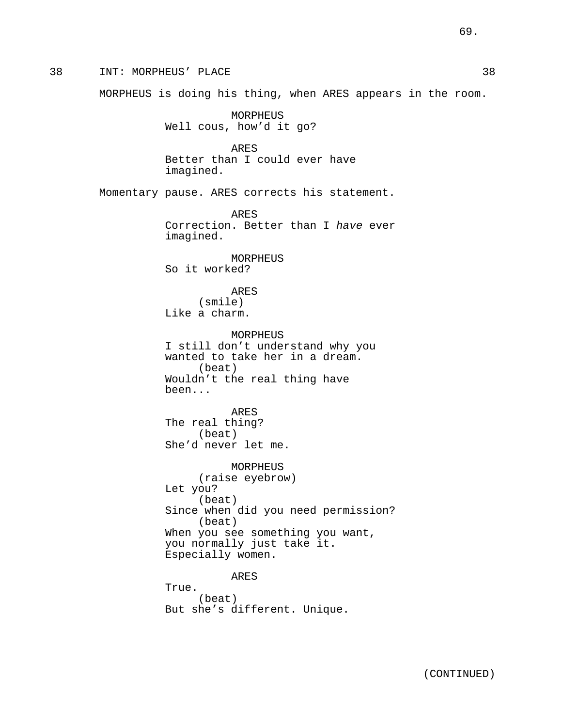38 INT: MORPHEUS' PLACE 38 MORPHEUS is doing his thing, when ARES appears in the room. MORPHEUS Well cous, how'd it go? ARES Better than I could ever have imagined. Momentary pause. ARES corrects his statement. ARES Correction. Better than I have ever imagined. MORPHEUS So it worked? ARES (smile) Like a charm. MORPHEUS I still don't understand why you wanted to take her in a dream. (beat) Wouldn't the real thing have been... ARES The real thing? (beat) She'd never let me. MORPHEUS (raise eyebrow) Let you? (beat) Since when did you need permission? (beat) When you see something you want, you normally just take it. Especially women. ARES True. (beat) But she's different. Unique.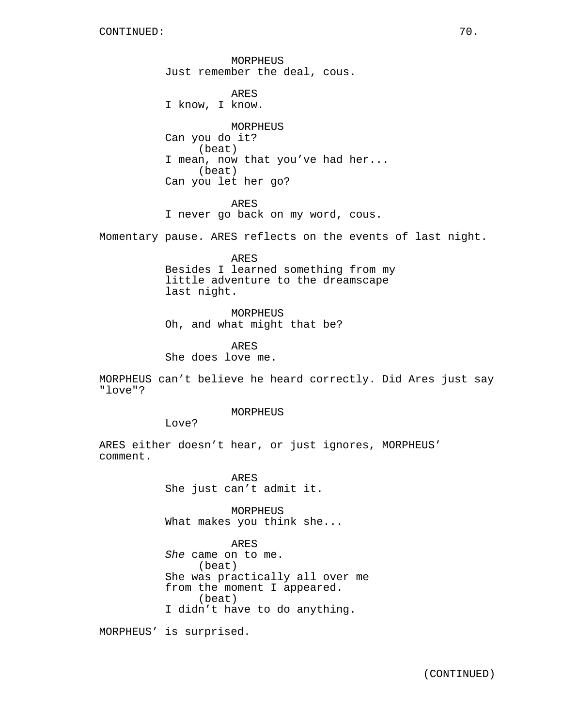MORPHEUS Just remember the deal, cous. ARES I know, I know. MORPHEUS Can you do it? (beat) I mean, now that you've had her... (beat) Can you let her go? ARES I never go back on my word, cous. Momentary pause. ARES reflects on the events of last night. ARES Besides I learned something from my little adventure to the dreamscape last night. MORPHEUS

Oh, and what might that be?

ARES She does love me.

MORPHEUS can't believe he heard correctly. Did Ares just say "love"?

MORPHEUS

Love?

ARES either doesn't hear, or just ignores, MORPHEUS' comment.

> ARES She just can't admit it.

MORPHEUS What makes you think she...

ARES She came on to me. (beat) She was practically all over me from the moment I appeared. (beat) I didn't have to do anything.

MORPHEUS' is surprised.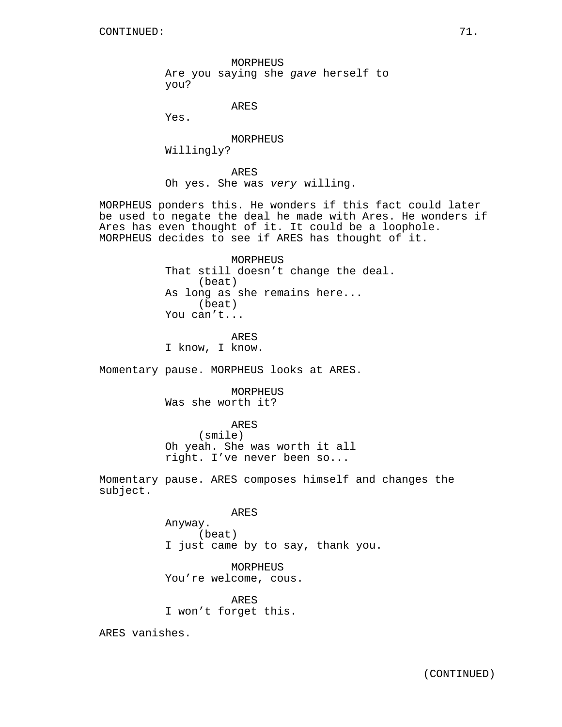MORPHEUS Are you saying she gave herself to you?

ARES

Yes.

MORPHEUS Willingly?

ARES Oh yes. She was very willing.

MORPHEUS ponders this. He wonders if this fact could later be used to negate the deal he made with Ares. He wonders if Ares has even thought of it. It could be a loophole. MORPHEUS decides to see if ARES has thought of it.

> MORPHEUS That still doesn't change the deal. (beat) As long as she remains here... (beat) You can't...

ARES I know, I know.

Momentary pause. MORPHEUS looks at ARES.

MORPHEUS Was she worth it?

ARES (smile) Oh yeah. She was worth it all right. I've never been so...

Momentary pause. ARES composes himself and changes the subject.

ARES

Anyway. (beat) I just came by to say, thank you.

MORPHEUS You're welcome, cous.

ARES I won't forget this.

ARES vanishes.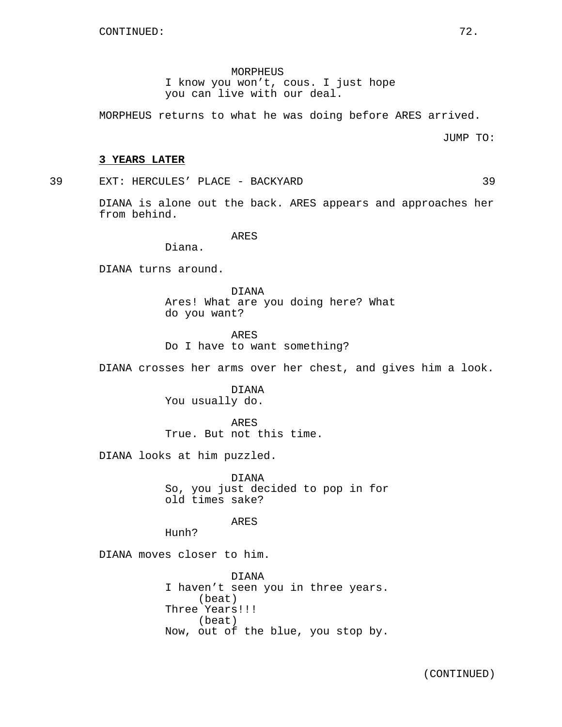MORPHEUS I know you won't, cous. I just hope you can live with our deal.

MORPHEUS returns to what he was doing before ARES arrived.

JUMP TO:

#### **3 YEARS LATER**

39 EXT: HERCULES' PLACE - BACKYARD 39

DIANA is alone out the back. ARES appears and approaches her from behind.

ARES

Diana.

DIANA turns around.

DIANA Ares! What are you doing here? What do you want?

ARES Do I have to want something?

DIANA crosses her arms over her chest, and gives him a look.

DIANA You usually do.

ARES True. But not this time.

DIANA looks at him puzzled.

DIANA So, you just decided to pop in for old times sake?

ARES

Hunh?

DIANA moves closer to him.

DIANA I haven't seen you in three years. (beat) Three Years!!! (beat) Now, out of the blue, you stop by.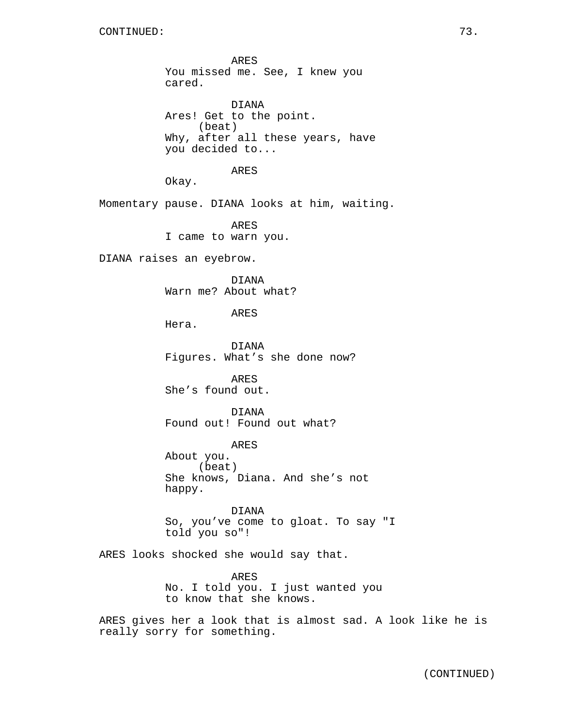ARES You missed me. See, I knew you cared. DIANA Ares! Get to the point. (beat) Why, after all these years, have you decided to... ARES Okay. Momentary pause. DIANA looks at him, waiting. ARES I came to warn you. DIANA raises an eyebrow. DIANA Warn me? About what? ARES Hera. DIANA Figures. What's she done now? ARES She's found out. DIANA Found out! Found out what? ARES About you. (beat) She knows, Diana. And she's not happy. DIANA So, you've come to gloat. To say "I told you so"! ARES looks shocked she would say that. ARES No. I told you. I just wanted you to know that she knows.

ARES gives her a look that is almost sad. A look like he is really sorry for something.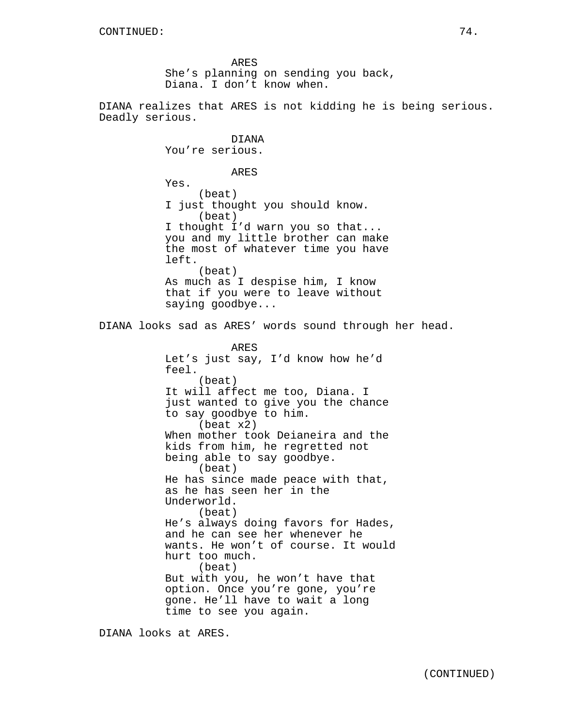ARES She's planning on sending you back, Diana. I don't know when.

DIANA

DIANA realizes that ARES is not kidding he is being serious. Deadly serious.

You're serious. ARES Yes. (beat) I just thought you should know. (beat) I thought I'd warn you so that... you and my little brother can make the most of whatever time you have left. (beat) As much as I despise him, I know that if you were to leave without saying goodbye... DIANA looks sad as ARES' words sound through her head. ARES Let's just say, I'd know how he'd feel. (beat) It will affect me too, Diana. I just wanted to give you the chance to say goodbye to him. (beat x2) When mother took Deianeira and the kids from him, he regretted not being able to say goodbye. (beat) He has since made peace with that, as he has seen her in the Underworld. (beat) He's always doing favors for Hades, and he can see her whenever he wants. He won't of course. It would hurt too much. (beat) But with you, he won't have that option. Once you're gone, you're gone. He'll have to wait a long time to see you again.

DIANA looks at ARES.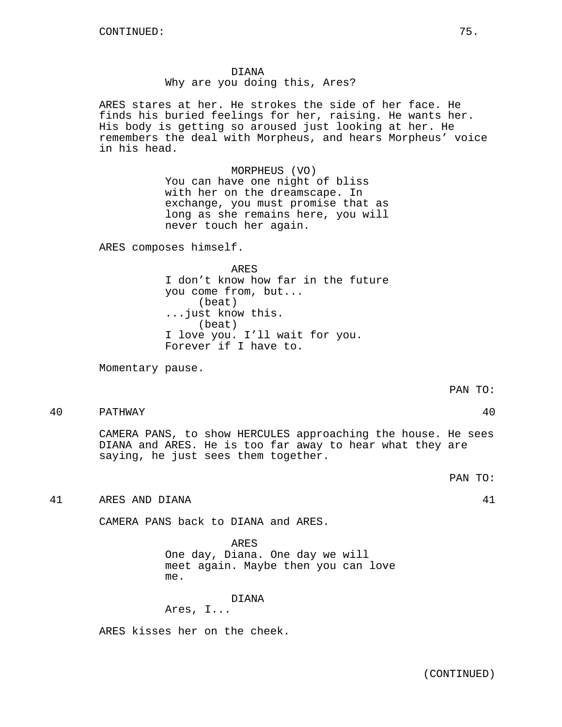DIANA Why are you doing this, Ares?

ARES stares at her. He strokes the side of her face. He finds his buried feelings for her, raising. He wants her. His body is getting so aroused just looking at her. He remembers the deal with Morpheus, and hears Morpheus' voice in his head.

> MORPHEUS (VO) You can have one night of bliss with her on the dreamscape. In exchange, you must promise that as long as she remains here, you will never touch her again.

ARES composes himself.

ARES I don't know how far in the future you come from, but... (beat) ...just know this. (beat) I love you. I'll wait for you. Forever if I have to.

Momentary pause.

PAN TO:

40 PATHWAY 40

CAMERA PANS, to show HERCULES approaching the house. He sees DIANA and ARES. He is too far away to hear what they are saying, he just sees them together.

PAN TO:

41 ARES AND DIANA 41

CAMERA PANS back to DIANA and ARES.

ARES One day, Diana. One day we will meet again. Maybe then you can love me.

DIANA

Ares, I...

ARES kisses her on the cheek.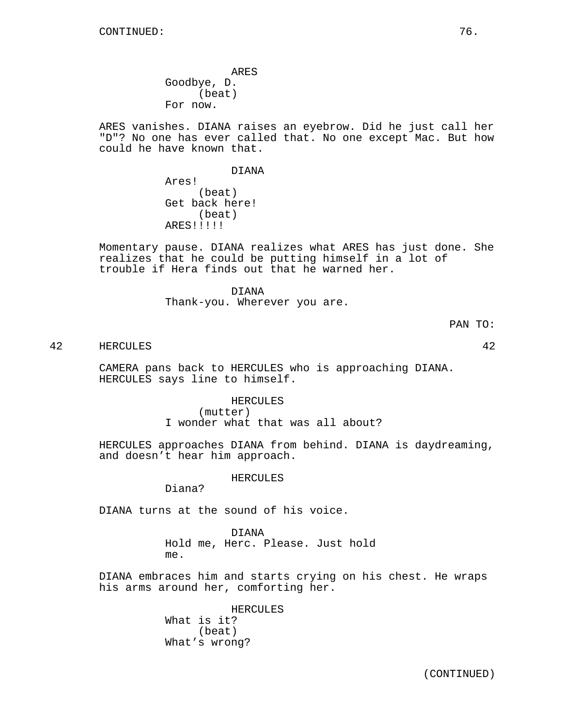ARES Goodbye, D. (beat) For now.

ARES vanishes. DIANA raises an eyebrow. Did he just call her "D"? No one has ever called that. No one except Mac. But how could he have known that.

#### DIANA

Ares! (beat) Get back here! (beat) ARES!!!!!

Momentary pause. DIANA realizes what ARES has just done. She realizes that he could be putting himself in a lot of trouble if Hera finds out that he warned her.

> DIANA Thank-you. Wherever you are.

> > PAN TO:

42 HERCULES 42

CAMERA pans back to HERCULES who is approaching DIANA. HERCULES says line to himself.

> HERCULES (mutter) I wonder what that was all about?

HERCULES approaches DIANA from behind. DIANA is daydreaming, and doesn't hear him approach.

HERCULES

Diana?

DIANA turns at the sound of his voice.

DIANA Hold me, Herc. Please. Just hold me.

DIANA embraces him and starts crying on his chest. He wraps his arms around her, comforting her.

> HERCULES What is it? (beat) What's wrong?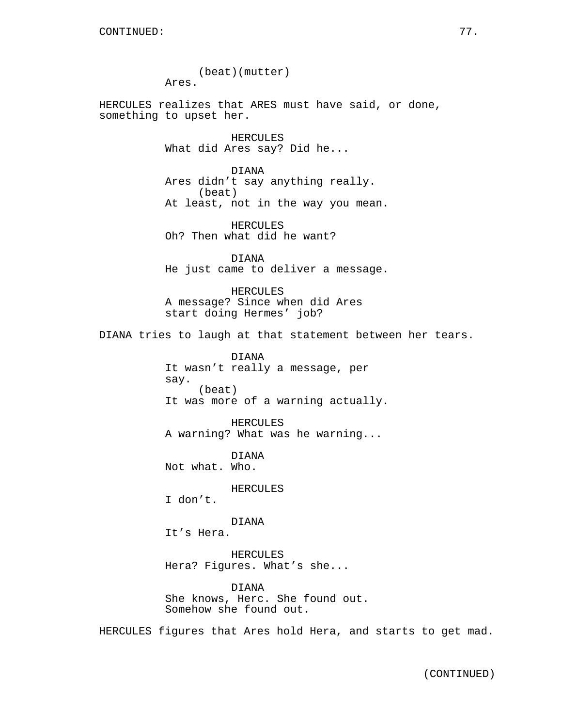(beat)(mutter) Ares. HERCULES realizes that ARES must have said, or done, something to upset her. HERCULES What did Ares say? Did he... DIANA Ares didn't say anything really. (beat) At least, not in the way you mean. HERCULES Oh? Then what did he want? DIANA He just came to deliver a message. HERCULES A message? Since when did Ares start doing Hermes' job? DIANA tries to laugh at that statement between her tears. DIANA It wasn't really a message, per say. (beat) It was more of a warning actually. HERCULES A warning? What was he warning... DIANA Not what. Who. HERCULES I don't. DIANA It's Hera.

> HERCULES Hera? Figures. What's she...

DIANA She knows, Herc. She found out. Somehow she found out.

HERCULES figures that Ares hold Hera, and starts to get mad.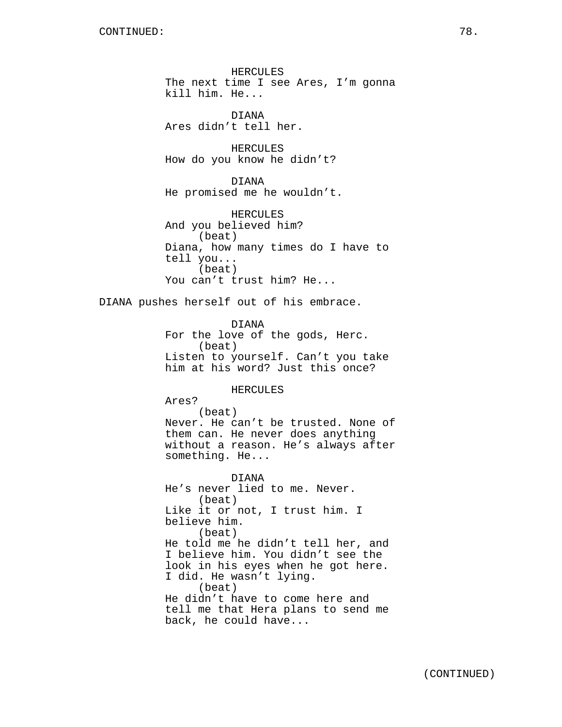HERCULES The next time I see Ares, I'm gonna kill him. He...

DIANA Ares didn't tell her.

HERCULES How do you know he didn't?

DIANA He promised me he wouldn't.

HERCULES And you believed him? (beat) Diana, how many times do I have to tell you... (beat) You can't trust him? He...

DIANA pushes herself out of his embrace.

DIANA For the love of the gods, Herc. (beat) Listen to yourself. Can't you take him at his word? Just this once?

#### HERCULES

Ares?

(beat) Never. He can't be trusted. None of them can. He never does anything without a reason. He's always after something. He...

DIANA He's never lied to me. Never. (beat) Like it or not, I trust him. I believe him. (beat) He told me he didn't tell her, and I believe him. You didn't see the look in his eyes when he got here. I did. He wasn't lying. (beat) He didn't have to come here and tell me that Hera plans to send me back, he could have...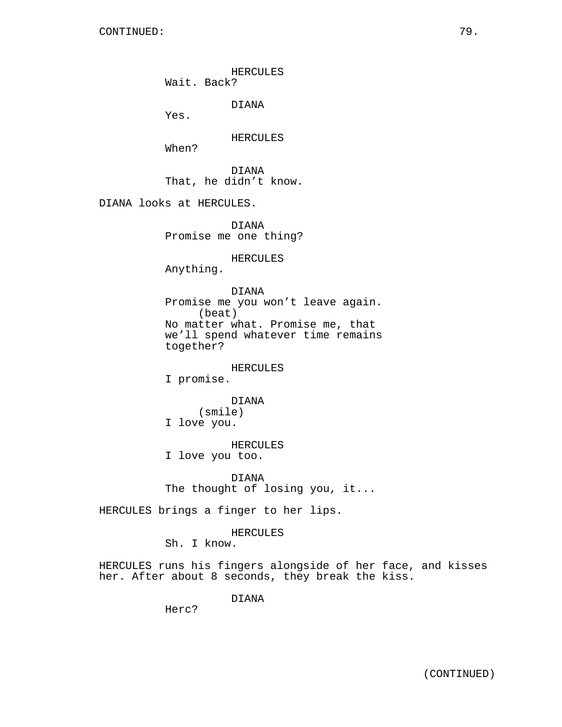HERCULES

Wait. Back?

DIANA

Yes.

HERCULES

When?

DIANA That, he didn't know.

DIANA looks at HERCULES.

DIANA Promise me one thing?

HERCULES

Anything.

DIANA Promise me you won't leave again. (beat) No matter what. Promise me, that we'll spend whatever time remains together?

HERCULES

I promise.

DIANA (smile) I love you.

HERCULES

I love you too.

DIANA The thought of losing you, it...

HERCULES brings a finger to her lips.

HERCULES

Sh. I know.

HERCULES runs his fingers alongside of her face, and kisses her. After about 8 seconds, they break the kiss.

DIANA

Herc?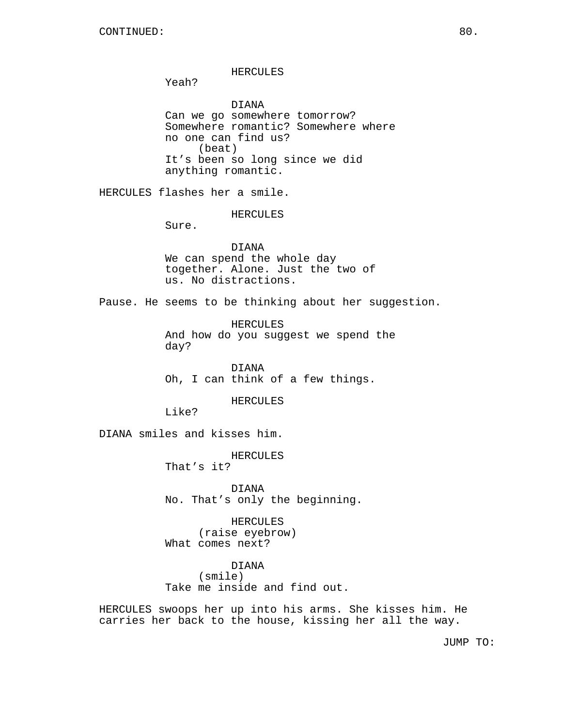#### HERCULES

Yeah?

DIANA Can we go somewhere tomorrow? Somewhere romantic? Somewhere where no one can find us? (beat) It's been so long since we did anything romantic.

HERCULES flashes her a smile.

HERCULES

Sure.

# DIANA We can spend the whole day together. Alone. Just the two of us. No distractions.

Pause. He seems to be thinking about her suggestion.

HERCULES And how do you suggest we spend the day?

DIANA Oh, I can think of a few things.

#### HERCULES

Like?

DIANA smiles and kisses him.

HERCULES

That's it?

DIANA No. That's only the beginning.

HERCULES (raise eyebrow) What comes next?

DIANA (smile) Take me inside and find out.

HERCULES swoops her up into his arms. She kisses him. He carries her back to the house, kissing her all the way.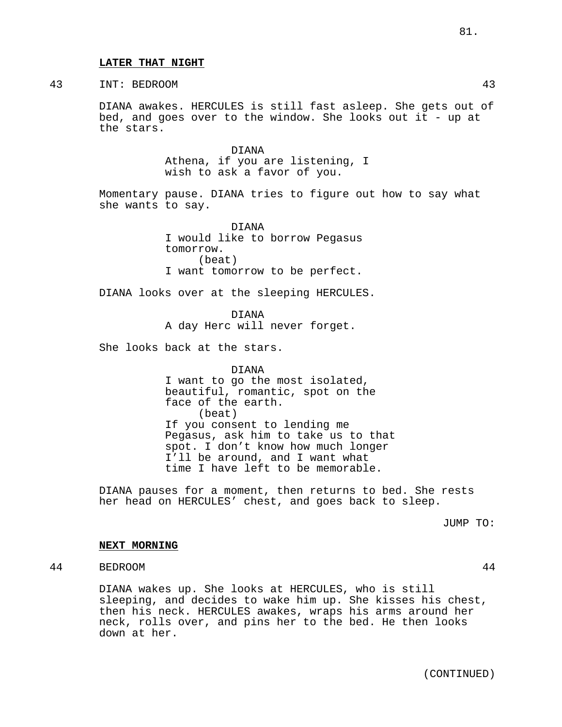#### **LATER THAT NIGHT**

# 43 INT: BEDROOM 43

DIANA awakes. HERCULES is still fast asleep. She gets out of bed, and goes over to the window. She looks out it - up at the stars.

> DIANA Athena, if you are listening, I wish to ask a favor of you.

Momentary pause. DIANA tries to figure out how to say what she wants to say.

> DIANA I would like to borrow Pegasus tomorrow. (beat) I want tomorrow to be perfect.

DIANA looks over at the sleeping HERCULES.

DIANA

A day Herc will never forget.

She looks back at the stars.

DIANA I want to go the most isolated, beautiful, romantic, spot on the face of the earth. (beat) If you consent to lending me Pegasus, ask him to take us to that spot. I don't know how much longer I'll be around, and I want what time I have left to be memorable.

DIANA pauses for a moment, then returns to bed. She rests her head on HERCULES' chest, and goes back to sleep.

JUMP TO:

### **NEXT MORNING**

# 44 BEDROOM 44

DIANA wakes up. She looks at HERCULES, who is still sleeping, and decides to wake him up. She kisses his chest, then his neck. HERCULES awakes, wraps his arms around her neck, rolls over, and pins her to the bed. He then looks down at her.

(CONTINUED)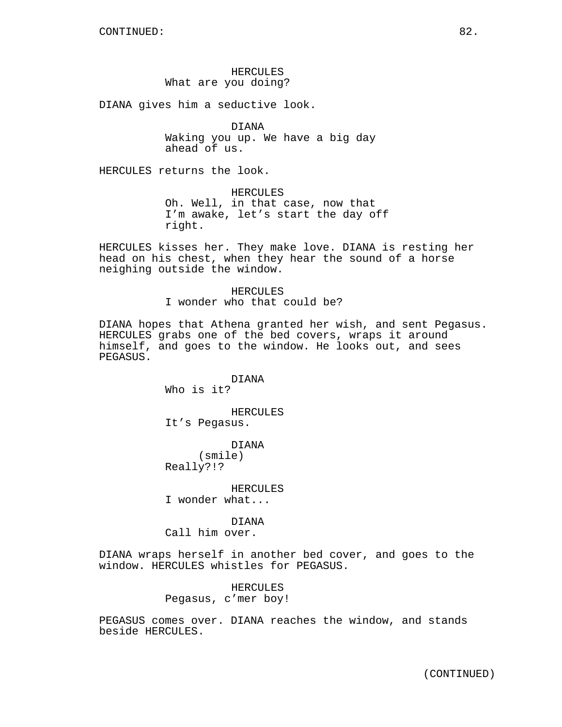# HERCULES What are you doing?

DIANA gives him a seductive look.

DIANA Waking you up. We have a big day ahead of us.

HERCULES returns the look.

HERCULES Oh. Well, in that case, now that I'm awake, let's start the day off right.

HERCULES kisses her. They make love. DIANA is resting her head on his chest, when they hear the sound of a horse neighing outside the window.

> HERCULES I wonder who that could be?

DIANA hopes that Athena granted her wish, and sent Pegasus. HERCULES grabs one of the bed covers, wraps it around himself, and goes to the window. He looks out, and sees PEGASUS.

> DIANA Who is it?

HERCULES It's Pegasus.

DIANA (smile) Really?!?

HERCULES I wonder what...

DIANA Call him over.

DIANA wraps herself in another bed cover, and goes to the window. HERCULES whistles for PEGASUS.

> HERCULES Pegasus, c'mer boy!

PEGASUS comes over. DIANA reaches the window, and stands beside HERCULES.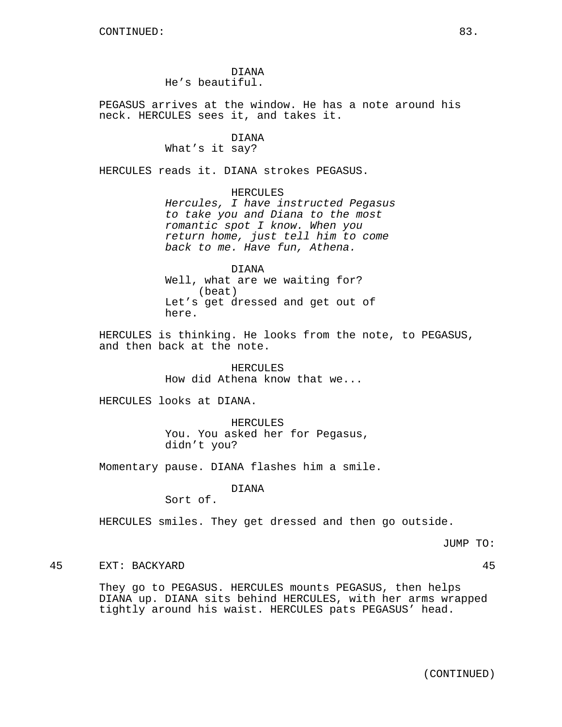# DIANA He's beautiful.

PEGASUS arrives at the window. He has a note around his neck. HERCULES sees it, and takes it.

#### DIANA

What's it say?

HERCULES reads it. DIANA strokes PEGASUS.

HERCULES Hercules, I have instructed Pegasus to take you and Diana to the most romantic spot I know. When you return home, just tell him to come back to me. Have fun, Athena.

DIANA Well, what are we waiting for? (beat) Let's get dressed and get out of here.

HERCULES is thinking. He looks from the note, to PEGASUS, and then back at the note.

> HERCULES How did Athena know that we...

HERCULES looks at DIANA.

HERCULES You. You asked her for Pegasus, didn't you?

Momentary pause. DIANA flashes him a smile.

DIANA

Sort of.

HERCULES smiles. They get dressed and then go outside.

JUMP TO:

45 EXT: BACKYARD 45

They go to PEGASUS. HERCULES mounts PEGASUS, then helps DIANA up. DIANA sits behind HERCULES, with her arms wrapped tightly around his waist. HERCULES pats PEGASUS' head.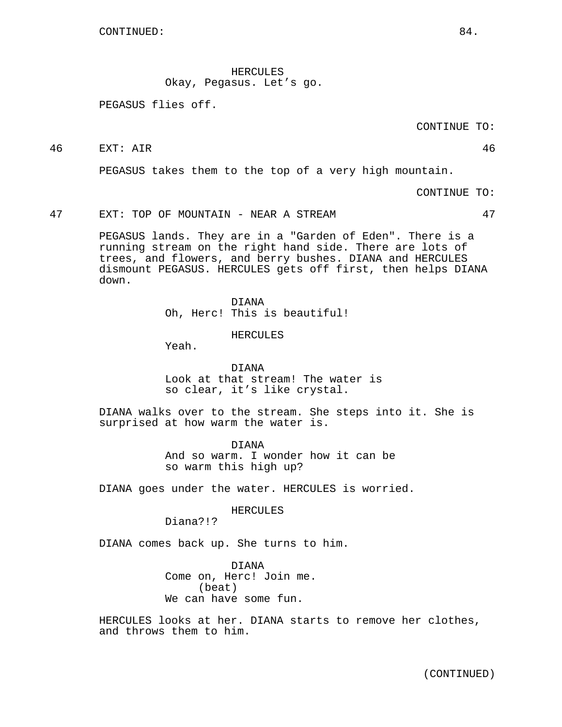HERCULES Okay, Pegasus. Let's go.

PEGASUS flies off.

CONTINUE TO:

46 EXT: AIR 46

PEGASUS takes them to the top of a very high mountain.

CONTINUE TO:

47 EXT: TOP OF MOUNTAIN - NEAR A STREAM 47

PEGASUS lands. They are in a "Garden of Eden". There is a running stream on the right hand side. There are lots of trees, and flowers, and berry bushes. DIANA and HERCULES dismount PEGASUS. HERCULES gets off first, then helps DIANA down.

> DIANA Oh, Herc! This is beautiful!

> > HERCULES

Yeah.

DIANA Look at that stream! The water is so clear, it's like crystal.

DIANA walks over to the stream. She steps into it. She is surprised at how warm the water is.

> DIANA And so warm. I wonder how it can be so warm this high up?

DIANA goes under the water. HERCULES is worried.

HERCULES

Diana?!?

DIANA comes back up. She turns to him.

DIANA Come on, Herc! Join me. (beat) We can have some fun.

HERCULES looks at her. DIANA starts to remove her clothes, and throws them to him.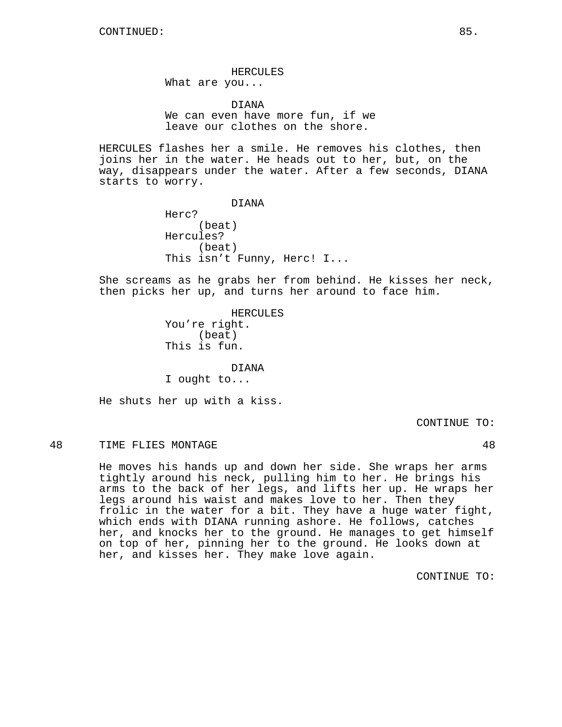HERCULES What are you...

DIANA We can even have more fun, if we leave our clothes on the shore.

HERCULES flashes her a smile. He removes his clothes, then joins her in the water. He heads out to her, but, on the way, disappears under the water. After a few seconds, DIANA starts to worry.

> DIANA Herc? (beat) Hercules? (beat) This isn't Funny, Herc! I...

She screams as he grabs her from behind. He kisses her neck, then picks her up, and turns her around to face him.

> HERCULES You're right. (beat) This is fun.

DIANA I ought to...

He shuts her up with a kiss.

CONTINUE TO:

# 48 TIME FLIES MONTAGE 28 AM

He moves his hands up and down her side. She wraps her arms tightly around his neck, pulling him to her. He brings his arms to the back of her legs, and lifts her up. He wraps her legs around his waist and makes love to her. Then they frolic in the water for a bit. They have a huge water fight, which ends with DIANA running ashore. He follows, catches her, and knocks her to the ground. He manages to get himself on top of her, pinning her to the ground. He looks down at her, and kisses her. They make love again.

CONTINUE TO: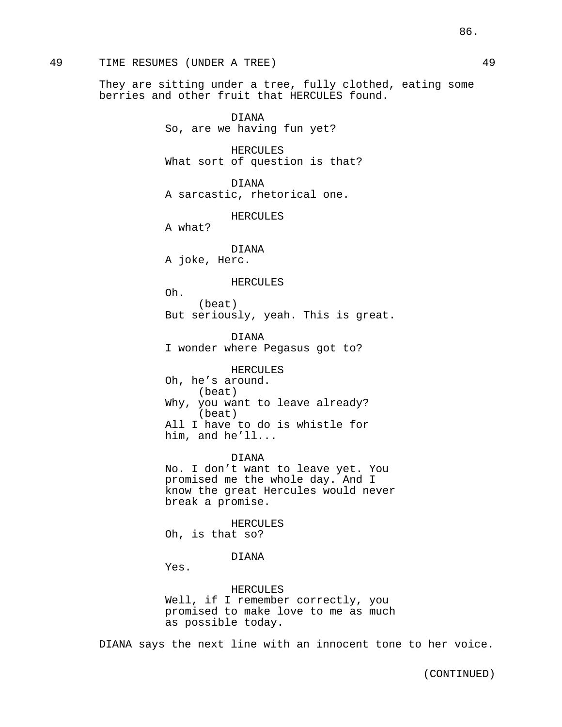### 49 TIME RESUMES (UNDER A TREE) 49

They are sitting under a tree, fully clothed, eating some berries and other fruit that HERCULES found.

> DIANA So, are we having fun yet?

HERCULES What sort of question is that?

DIANA A sarcastic, rhetorical one.

HERCULES

A what?

DIANA

A joke, Herc.

#### HERCULES

Oh. (beat) But seriously, yeah. This is great.

DIANA I wonder where Pegasus got to?

HERCULES Oh, he's around. (beat) Why, you want to leave already? (beat) All I have to do is whistle for him, and he'll...

DIANA No. I don't want to leave yet. You promised me the whole day. And I know the great Hercules would never break a promise.

HERCULES Oh, is that so?

#### DIANA

Yes.

HERCULES Well, if I remember correctly, you promised to make love to me as much as possible today.

DIANA says the next line with an innocent tone to her voice.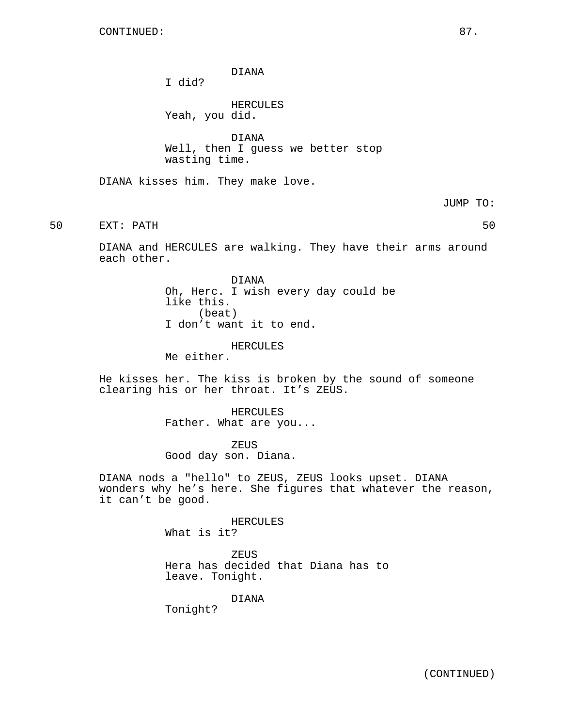DIANA

I did?

HERCULES Yeah, you did.

DIANA Well, then I guess we better stop wasting time.

DIANA kisses him. They make love.

JUMP TO:

50 EXT: PATH 50

DIANA and HERCULES are walking. They have their arms around each other.

> DIANA Oh, Herc. I wish every day could be like this. (beat) I don't want it to end.

> > HERCULES

Me either.

He kisses her. The kiss is broken by the sound of someone clearing his or her throat. It's ZEUS.

> HERCULES Father. What are you...

ZEUS Good day son. Diana.

DIANA nods a "hello" to ZEUS, ZEUS looks upset. DIANA wonders why he's here. She figures that whatever the reason, it can't be good.

> HERCULES What is it?

ZEUS Hera has decided that Diana has to leave. Tonight.

DIANA

Tonight?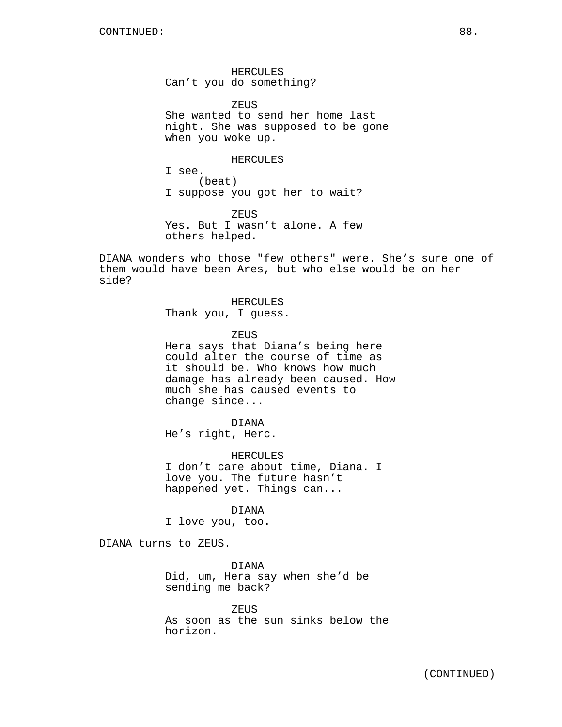HERCULES Can't you do something?

**ZEUS** She wanted to send her home last night. She was supposed to be gone when you woke up.

HERCULES I see.

(beat) I suppose you got her to wait?

ZEUS Yes. But I wasn't alone. A few others helped.

DIANA wonders who those "few others" were. She's sure one of them would have been Ares, but who else would be on her side?

> HERCULES Thank you, I guess.

> > ZEUS

Hera says that Diana's being here could alter the course of time as it should be. Who knows how much damage has already been caused. How much she has caused events to change since...

DIANA He's right, Herc.

HERCULES I don't care about time, Diana. I love you. The future hasn't happened yet. Things can...

DIANA

I love you, too.

DIANA turns to ZEUS.

DIANA Did, um, Hera say when she'd be sending me back?

ZEUS As soon as the sun sinks below the horizon.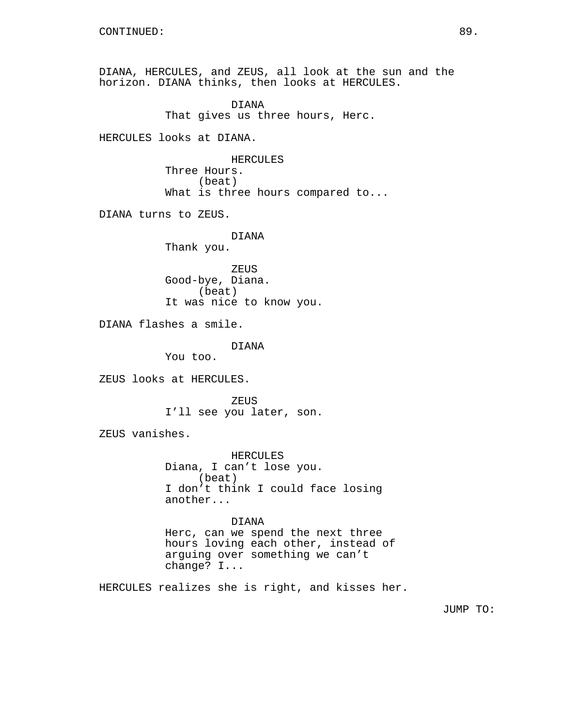DIANA, HERCULES, and ZEUS, all look at the sun and the horizon. DIANA thinks, then looks at HERCULES. DIANA That gives us three hours, Herc. HERCULES looks at DIANA. HERCULES Three Hours. (beat) What is three hours compared to... DIANA turns to ZEUS. DIANA Thank you. ZEUS Good-bye, Diana. (beat) It was nice to know you. DIANA flashes a smile. DIANA You too. ZEUS looks at HERCULES. ZEUS I'll see you later, son. ZEUS vanishes. HERCULES Diana, I can't lose you. (beat) I don't think I could face losing another... DIANA Herc, can we spend the next three hours loving each other, instead of arguing over something we can't change? I... HERCULES realizes she is right, and kisses her.

JUMP TO: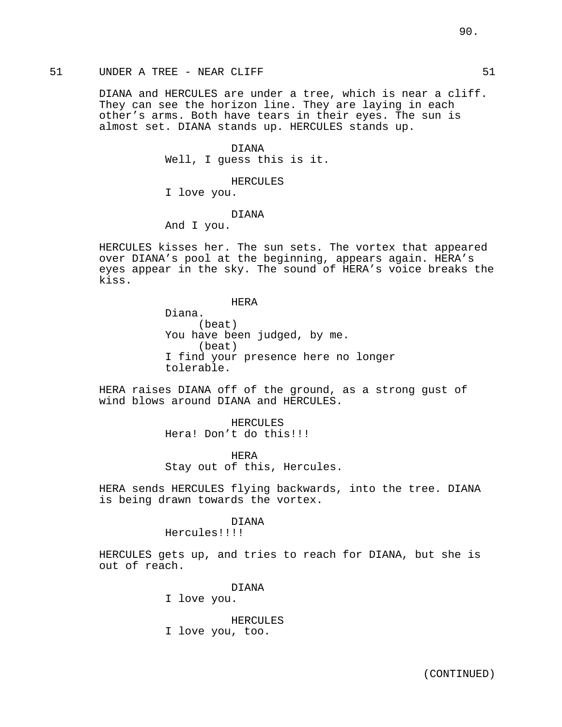# 51 UNDER A TREE - NEAR CLIFF **51** S1

DIANA and HERCULES are under a tree, which is near a cliff. They can see the horizon line. They are laying in each other's arms. Both have tears in their eyes. The sun is almost set. DIANA stands up. HERCULES stands up.

> DIANA Well, I guess this is it.

> > HERCULES

I love you.

#### DIANA

And I you.

HERCULES kisses her. The sun sets. The vortex that appeared over DIANA's pool at the beginning, appears again. HERA's eyes appear in the sky. The sound of HERA's voice breaks the kiss.

HERA

Diana. (beat) You have been judged, by me. (beat) I find your presence here no longer tolerable.

HERA raises DIANA off of the ground, as a strong gust of wind blows around DIANA and HERCULES.

> HERCULES Hera! Don't do this!!!

HERA Stay out of this, Hercules.

HERA sends HERCULES flying backwards, into the tree. DIANA is being drawn towards the vortex.

#### DIANA

Hercules!!!!

HERCULES gets up, and tries to reach for DIANA, but she is out of reach.

DIANA

I love you.

HERCULES I love you, too.

90.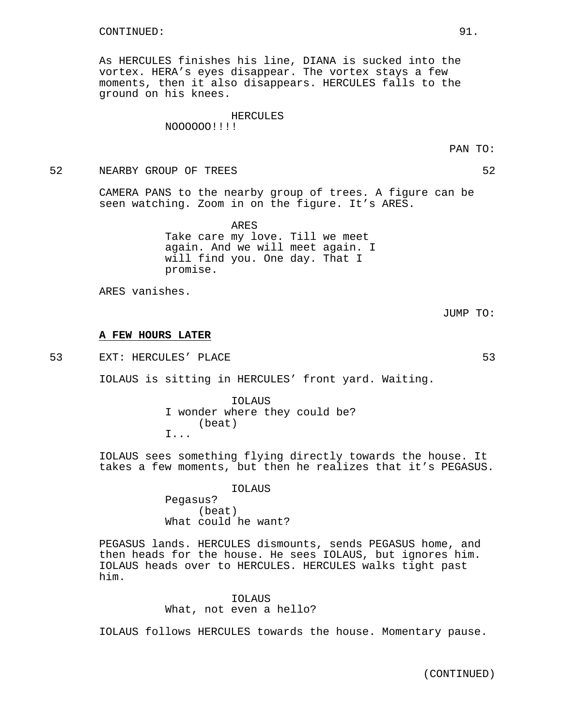As HERCULES finishes his line, DIANA is sucked into the vortex. HERA's eyes disappear. The vortex stays a few moments, then it also disappears. HERCULES falls to the ground on his knees.

#### HERCULES

NOOOOOO!!!!

52 NEARBY GROUP OF TREES 52

CAMERA PANS to the nearby group of trees. A figure can be seen watching. Zoom in on the figure. It's ARES.

> ARES Take care my love. Till we meet again. And we will meet again. I will find you. One day. That I promise.

ARES vanishes.

JUMP TO:

#### **A FEW HOURS LATER**

53 EXT: HERCULES' PLACE 53

IOLAUS is sitting in HERCULES' front yard. Waiting.

IOLAUS I wonder where they could be? (beat) I...

IOLAUS sees something flying directly towards the house. It takes a few moments, but then he realizes that it's PEGASUS.

> IOLAUS Pegasus? (beat) What could he want?

PEGASUS lands. HERCULES dismounts, sends PEGASUS home, and then heads for the house. He sees IOLAUS, but ignores him. IOLAUS heads over to HERCULES. HERCULES walks tight past him.

> IOLAUS What, not even a hello?

IOLAUS follows HERCULES towards the house. Momentary pause.

(CONTINUED)

PAN TO: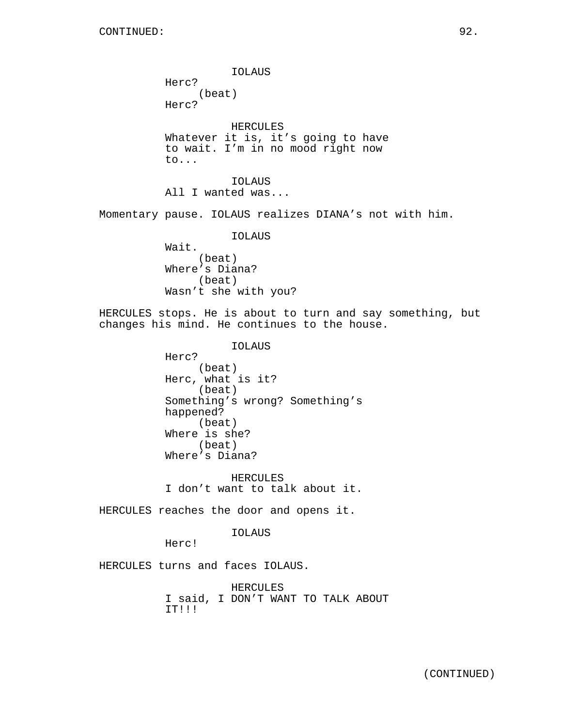IOLAUS Herc? (beat) Herc? HERCULES Whatever it is, it's going to have to wait. I'm in no mood right now to... IOLAUS All I wanted was... Momentary pause. IOLAUS realizes DIANA's not with him. IOLAUS Wait. (beat) Where's Diana? (beat) Wasn't she with you? HERCULES stops. He is about to turn and say something, but changes his mind. He continues to the house. IOLAUS Herc? (beat) Herc, what is it? (beat) Something's wrong? Something's happened? (beat) Where is she? (beat) Where's Diana? HERCULES I don't want to talk about it. HERCULES reaches the door and opens it. IOLAUS Herc! HERCULES turns and faces IOLAUS. HERCULES I said, I DON'T WANT TO TALK ABOUT IT!!!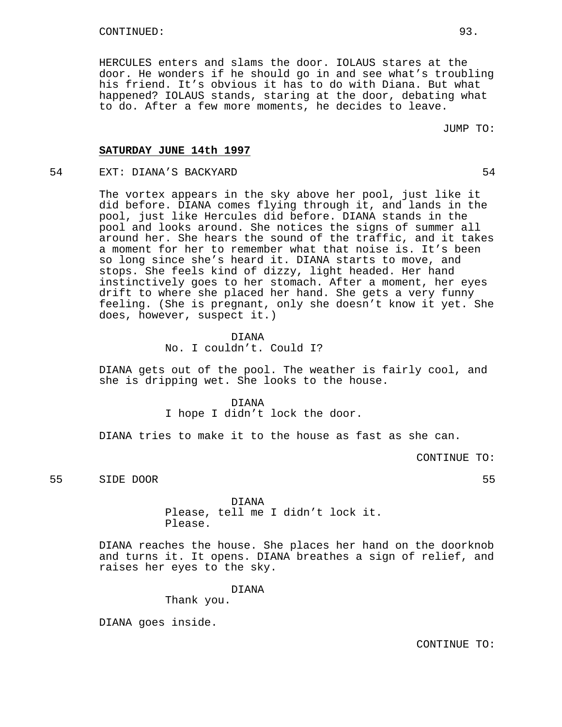HERCULES enters and slams the door. IOLAUS stares at the door. He wonders if he should go in and see what's troubling his friend. It's obvious it has to do with Diana. But what happened? IOLAUS stands, staring at the door, debating what to do. After a few more moments, he decides to leave.

JUMP TO:

#### **SATURDAY JUNE 14th 1997**

# 54 EXT: DIANA'S BACKYARD 54

The vortex appears in the sky above her pool, just like it did before. DIANA comes flying through it, and lands in the pool, just like Hercules did before. DIANA stands in the pool and looks around. She notices the signs of summer all around her. She hears the sound of the traffic, and it takes a moment for her to remember what that noise is. It's been so long since she's heard it. DIANA starts to move, and stops. She feels kind of dizzy, light headed. Her hand instinctively goes to her stomach. After a moment, her eyes drift to where she placed her hand. She gets a very funny feeling. (She is pregnant, only she doesn't know it yet. She does, however, suspect it.)

# DIANA

No. I couldn't. Could I?

DIANA gets out of the pool. The weather is fairly cool, and she is dripping wet. She looks to the house.

# DIANA

I hope I didn't lock the door.

DIANA tries to make it to the house as fast as she can.

CONTINUE TO:

55 SIDE DOOR 55

DIANA Please, tell me I didn't lock it. Please.

DIANA reaches the house. She places her hand on the doorknob and turns it. It opens. DIANA breathes a sign of relief, and raises her eyes to the sky.

DIANA

Thank you.

DIANA goes inside.

CONTINUE TO: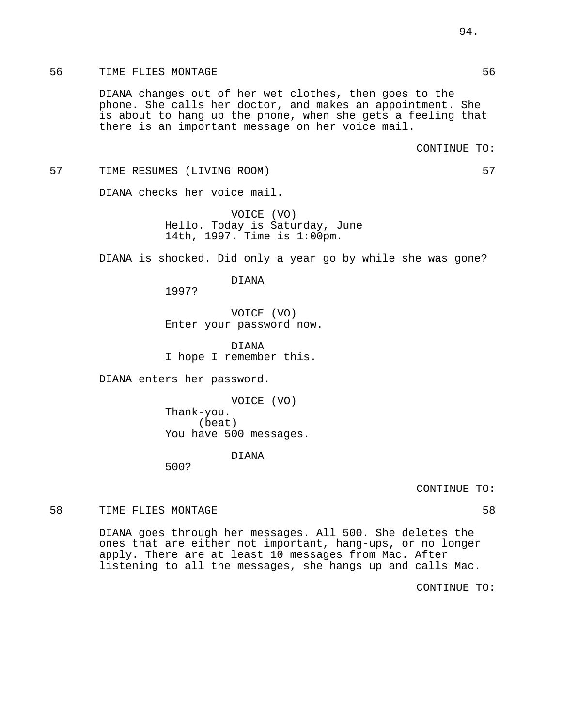### 56 TIME FLIES MONTAGE 36 SEPTEMBER 1997 STATES 56

DIANA changes out of her wet clothes, then goes to the phone. She calls her doctor, and makes an appointment. She is about to hang up the phone, when she gets a feeling that there is an important message on her voice mail.

#### 57 TIME RESUMES (LIVING ROOM) 57

DIANA checks her voice mail.

VOICE (VO) Hello. Today is Saturday, June 14th, 1997. Time is 1:00pm.

DIANA is shocked. Did only a year go by while she was gone?

DIANA

1997?

VOICE (VO) Enter your password now.

DIANA I hope I remember this.

DIANA enters her password.

VOICE (VO) Thank-you. (beat) You have 500 messages.

# DIANA

500?

CONTINUE TO:

58 TIME FLIES MONTAGE 38 SETTING THE SAME SETTING SALE IS A SETTING OF SALE IS A SETTING OF SALE IS A SETTING S

DIANA goes through her messages. All 500. She deletes the ones that are either not important, hang-ups, or no longer apply. There are at least 10 messages from Mac. After listening to all the messages, she hangs up and calls Mac.

CONTINUE TO: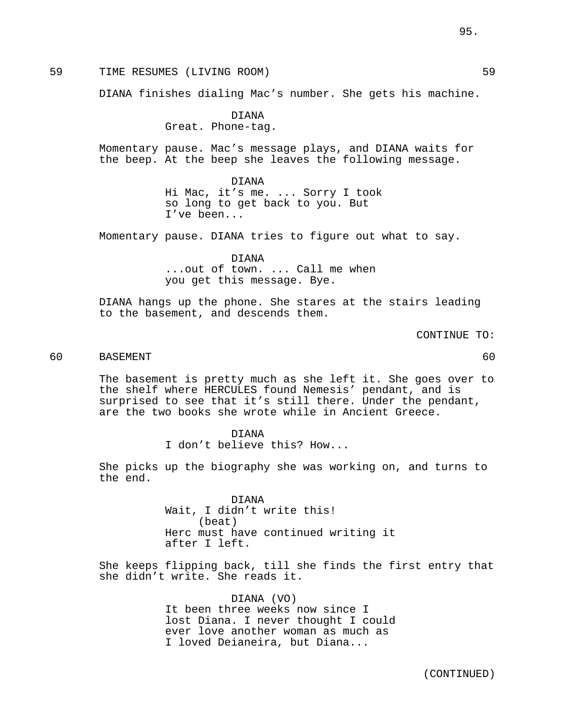59 TIME RESUMES (LIVING ROOM) 59

DIANA finishes dialing Mac's number. She gets his machine.

DIANA Great. Phone-tag.

Momentary pause. Mac's message plays, and DIANA waits for the beep. At the beep she leaves the following message.

> DIANA Hi Mac, it's me. ... Sorry I took so long to get back to you. But I've been...

Momentary pause. DIANA tries to figure out what to say.

DIANA ...out of town. ... Call me when you get this message. Bye.

DIANA hangs up the phone. She stares at the stairs leading to the basement, and descends them.

CONTINUE TO:

# 60 BASEMENT 60

The basement is pretty much as she left it. She goes over to the shelf where HERCULES found Nemesis' pendant, and is surprised to see that it's still there. Under the pendant, are the two books she wrote while in Ancient Greece.

DIANA

I don't believe this? How...

She picks up the biography she was working on, and turns to the end.

> DIANA Wait, I didn't write this! (beat) Herc must have continued writing it after I left.

She keeps flipping back, till she finds the first entry that she didn't write. She reads it.

> DIANA (VO) It been three weeks now since I lost Diana. I never thought I could ever love another woman as much as I loved Deianeira, but Diana...

95.